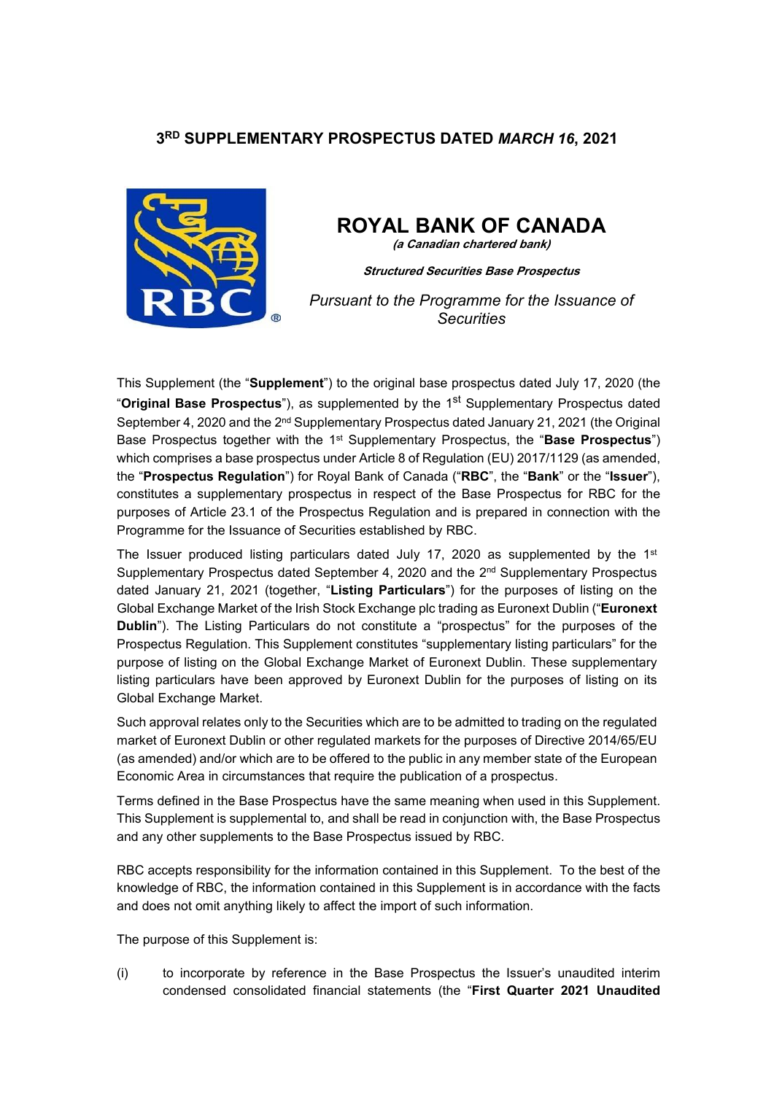# **3 RD SUPPLEMENTARY PROSPECTUS DATED** *MARCH 16***, 2021**



# **ROYAL BANK OF CANADA**

**(a Canadian chartered bank)**

**Structured Securities Base Prospectus**

*Pursuant to the Programme for the Issuance of Securities*

This Supplement (the "**Supplement**") to the original base prospectus dated July 17, 2020 (the "**Original Base Prospectus**"), as supplemented by the 1<sup>st</sup> Supplementary Prospectus dated September 4, 2020 and the  $2^{nd}$  Supplementary Prospectus dated January 21, 2021 (the Original Base Prospectus together with the 1<sup>st</sup> Supplementary Prospectus, the "**Base Prospectus**") which comprises a base prospectus under Article 8 of Regulation (EU) 2017/1129 (as amended, the "**Prospectus Regulation**") for Royal Bank of Canada ("**RBC**", the "**Bank**" or the "**Issuer**"), constitutes a supplementary prospectus in respect of the Base Prospectus for RBC for the purposes of Article 23.1 of the Prospectus Regulation and is prepared in connection with the Programme for the Issuance of Securities established by RBC.

The Issuer produced listing particulars dated July 17, 2020 as supplemented by the  $1<sup>st</sup>$ Supplementary Prospectus dated September 4, 2020 and the  $2<sup>nd</sup>$  Supplementary Prospectus dated January 21, 2021 (together, "**Listing Particulars**") for the purposes of listing on the Global Exchange Market of the Irish Stock Exchange plc trading as Euronext Dublin ("**Euronext Dublin**"). The Listing Particulars do not constitute a "prospectus" for the purposes of the Prospectus Regulation. This Supplement constitutes "supplementary listing particulars" for the purpose of listing on the Global Exchange Market of Euronext Dublin. These supplementary listing particulars have been approved by Euronext Dublin for the purposes of listing on its Global Exchange Market.

Such approval relates only to the Securities which are to be admitted to trading on the regulated market of Euronext Dublin or other regulated markets for the purposes of Directive 2014/65/EU (as amended) and/or which are to be offered to the public in any member state of the European Economic Area in circumstances that require the publication of a prospectus.

Terms defined in the Base Prospectus have the same meaning when used in this Supplement. This Supplement is supplemental to, and shall be read in conjunction with, the Base Prospectus and any other supplements to the Base Prospectus issued by RBC.

RBC accepts responsibility for the information contained in this Supplement. To the best of the knowledge of RBC, the information contained in this Supplement is in accordance with the facts and does not omit anything likely to affect the import of such information.

The purpose of this Supplement is:

(i) to incorporate by reference in the Base Prospectus the Issuer's unaudited interim condensed consolidated financial statements (the "**First Quarter 2021 Unaudited**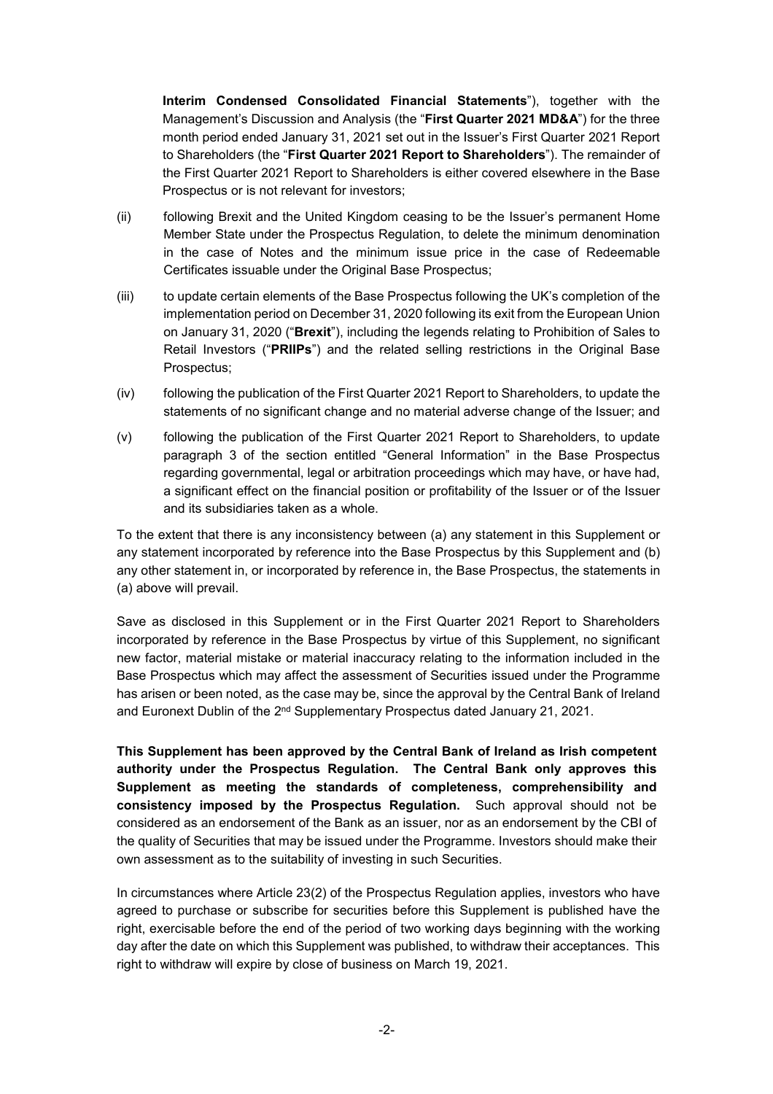**Interim Condensed Consolidated Financial Statements**"), together with the Management's Discussion and Analysis (the "**First Quarter 2021 MD&A**") for the three month period ended January 31, 2021 set out in the Issuer's First Quarter 2021 Report to Shareholders (the "**First Quarter 2021 Report to Shareholders**"). The remainder of the First Quarter 2021 Report to Shareholders is either covered elsewhere in the Base Prospectus or is not relevant for investors;

- (ii) following Brexit and the United Kingdom ceasing to be the Issuer's permanent Home Member State under the Prospectus Regulation, to delete the minimum denomination in the case of Notes and the minimum issue price in the case of Redeemable Certificates issuable under the Original Base Prospectus;
- (iii) to update certain elements of the Base Prospectus following the UK's completion of the implementation period on December 31, 2020 following its exit from the European Union on January 31, 2020 ("**Brexit**"), including the legends relating to Prohibition of Sales to Retail Investors ("**PRIIPs**") and the related selling restrictions in the Original Base Prospectus;
- (iv) following the publication of the First Quarter 2021 Report to Shareholders, to update the statements of no significant change and no material adverse change of the Issuer; and
- (v) following the publication of the First Quarter 2021 Report to Shareholders, to update paragraph 3 of the section entitled "General Information" in the Base Prospectus regarding governmental, legal or arbitration proceedings which may have, or have had, a significant effect on the financial position or profitability of the Issuer or of the Issuer and its subsidiaries taken as a whole.

To the extent that there is any inconsistency between (a) any statement in this Supplement or any statement incorporated by reference into the Base Prospectus by this Supplement and (b) any other statement in, or incorporated by reference in, the Base Prospectus, the statements in (a) above will prevail.

Save as disclosed in this Supplement or in the First Quarter 2021 Report to Shareholders incorporated by reference in the Base Prospectus by virtue of this Supplement, no significant new factor, material mistake or material inaccuracy relating to the information included in the Base Prospectus which may affect the assessment of Securities issued under the Programme has arisen or been noted, as the case may be, since the approval by the Central Bank of Ireland and Euronext Dublin of the 2<sup>nd</sup> Supplementary Prospectus dated January 21, 2021.

**This Supplement has been approved by the Central Bank of Ireland as Irish competent authority under the Prospectus Regulation. The Central Bank only approves this Supplement as meeting the standards of completeness, comprehensibility and consistency imposed by the Prospectus Regulation.** Such approval should not be considered as an endorsement of the Bank as an issuer, nor as an endorsement by the CBI of the quality of Securities that may be issued under the Programme. Investors should make their own assessment as to the suitability of investing in such Securities.

In circumstances where Article 23(2) of the Prospectus Regulation applies, investors who have agreed to purchase or subscribe for securities before this Supplement is published have the right, exercisable before the end of the period of two working days beginning with the working day after the date on which this Supplement was published, to withdraw their acceptances. This right to withdraw will expire by close of business on March 19, 2021.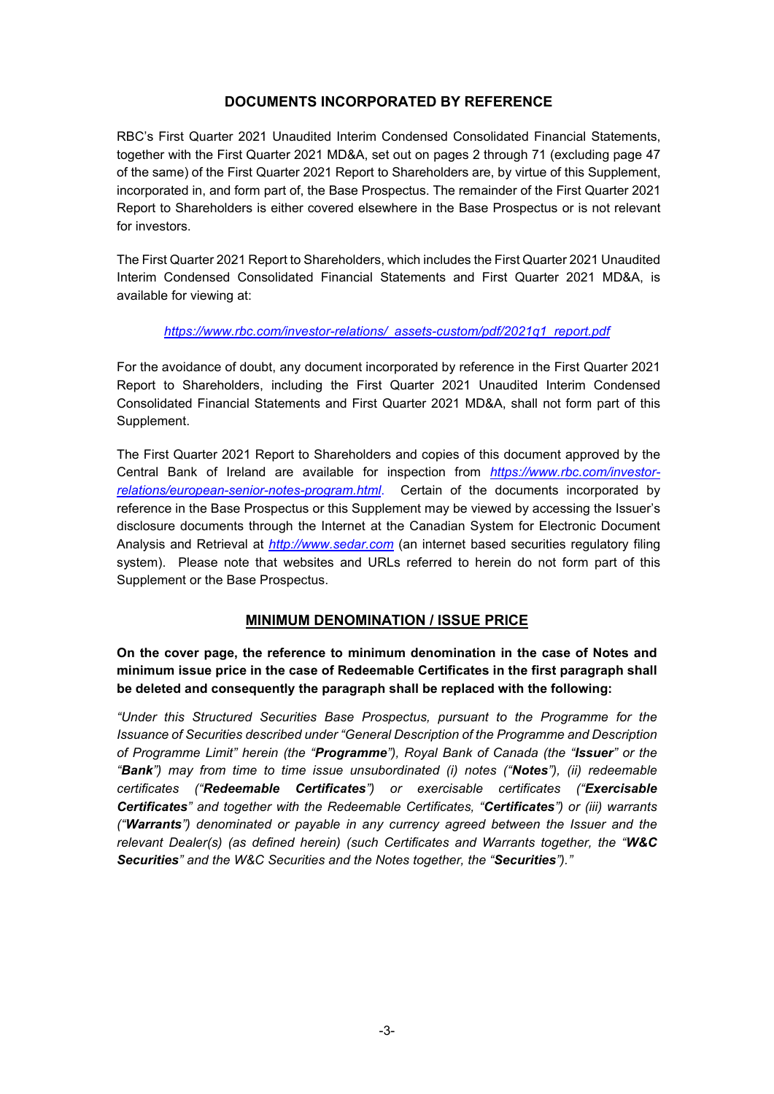# **DOCUMENTS INCORPORATED BY REFERENCE**

RBC's First Quarter 2021 Unaudited Interim Condensed Consolidated Financial Statements, together with the First Quarter 2021 MD&A, set out on pages 2 through 71 (excluding page 47 of the same) of the First Quarter 2021 Report to Shareholders are, by virtue of this Supplement, incorporated in, and form part of, the Base Prospectus. The remainder of the First Quarter 2021 Report to Shareholders is either covered elsewhere in the Base Prospectus or is not relevant for investors.

The First Quarter 2021 Report to Shareholders, which includes the First Quarter 2021 Unaudited Interim Condensed Consolidated Financial Statements and First Quarter 2021 MD&A, is available for viewing at:

### *https://www.rbc.com/investor-relations/\_assets-custom/pdf/2021q1\_report.pdf*

For the avoidance of doubt, any document incorporated by reference in the First Quarter 2021 Report to Shareholders, including the First Quarter 2021 Unaudited Interim Condensed Consolidated Financial Statements and First Quarter 2021 MD&A, shall not form part of this Supplement.

The First Quarter 2021 Report to Shareholders and copies of this document approved by the Central Bank of Ireland are available for inspection from *https://www.rbc.com/investorrelations/european-senior-notes-program.html*. Certain of the documents incorporated by reference in the Base Prospectus or this Supplement may be viewed by accessing the Issuer's disclosure documents through the Internet at the Canadian System for Electronic Document Analysis and Retrieval at *http://www.sedar.com* (an internet based securities regulatory filing system). Please note that websites and URLs referred to herein do not form part of this Supplement or the Base Prospectus.

# **MINIMUM DENOMINATION / ISSUE PRICE**

**On the cover page, the reference to minimum denomination in the case of Notes and minimum issue price in the case of Redeemable Certificates in the first paragraph shall be deleted and consequently the paragraph shall be replaced with the following:**

*"Under this Structured Securities Base Prospectus, pursuant to the Programme for the Issuance of Securities described under "General Description of the Programme and Description of Programme Limit" herein (the "Programme"), Royal Bank of Canada (the "Issuer" or the "Bank") may from time to time issue unsubordinated (i) notes ("Notes"), (ii) redeemable certificates ("Redeemable Certificates") or exercisable certificates ("Exercisable Certificates" and together with the Redeemable Certificates, "Certificates") or (iii) warrants ("Warrants") denominated or payable in any currency agreed between the Issuer and the relevant Dealer(s) (as defined herein) (such Certificates and Warrants together, the "W&C Securities" and the W&C Securities and the Notes together, the "Securities")."*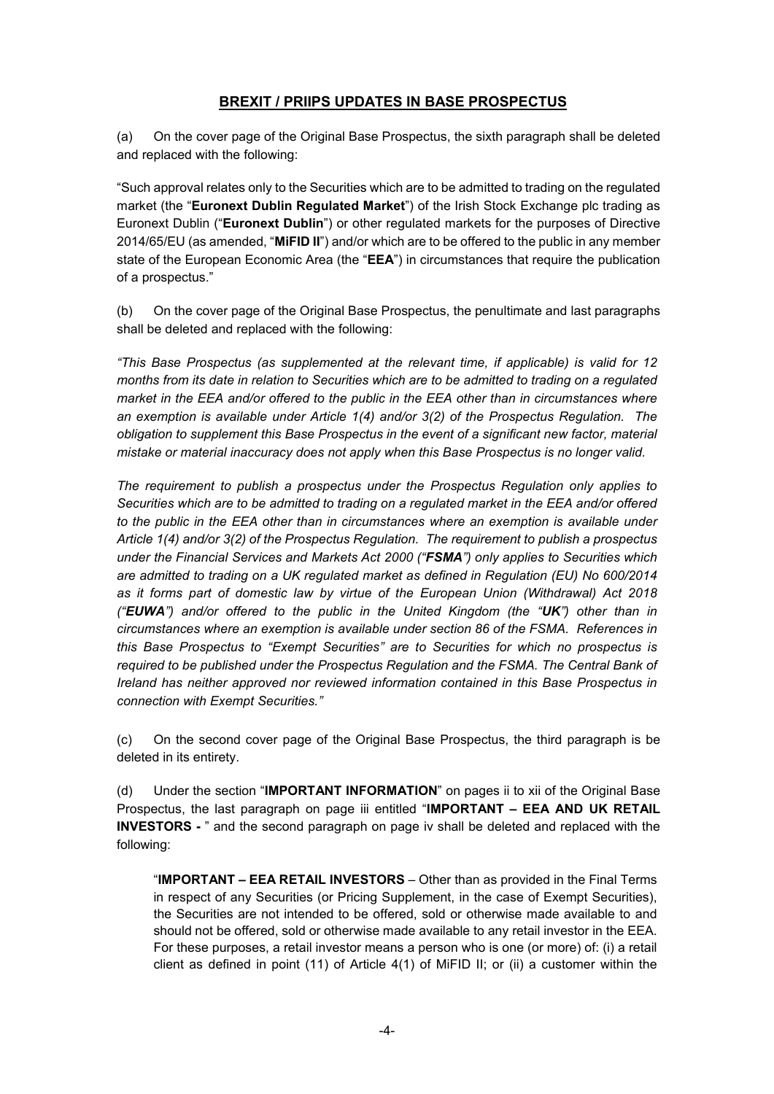# **BREXIT / PRIIPS UPDATES IN BASE PROSPECTUS**

(a) On the cover page of the Original Base Prospectus, the sixth paragraph shall be deleted and replaced with the following:

"Such approval relates only to the Securities which are to be admitted to trading on the regulated market (the "**Euronext Dublin Regulated Market**") of the Irish Stock Exchange plc trading as Euronext Dublin ("**Euronext Dublin**") or other regulated markets for the purposes of Directive 2014/65/EU (as amended, "**MiFID II**") and/or which are to be offered to the public in any member state of the European Economic Area (the "**EEA**") in circumstances that require the publication of a prospectus."

(b) On the cover page of the Original Base Prospectus, the penultimate and last paragraphs shall be deleted and replaced with the following:

*"This Base Prospectus (as supplemented at the relevant time, if applicable) is valid for 12 months from its date in relation to Securities which are to be admitted to trading on a regulated market in the EEA and/or offered to the public in the EEA other than in circumstances where an exemption is available under Article 1(4) and/or 3(2) of the Prospectus Regulation. The obligation to supplement this Base Prospectus in the event of a significant new factor, material mistake or material inaccuracy does not apply when this Base Prospectus is no longer valid.*

*The requirement to publish a prospectus under the Prospectus Regulation only applies to Securities which are to be admitted to trading on a regulated market in the EEA and/or offered to the public in the EEA other than in circumstances where an exemption is available under Article 1(4) and/or 3(2) of the Prospectus Regulation. The requirement to publish a prospectus under the Financial Services and Markets Act 2000 ("FSMA") only applies to Securities which are admitted to trading on a UK regulated market as defined in Regulation (EU) No 600/2014 as it forms part of domestic law by virtue of the European Union (Withdrawal) Act 2018 ("EUWA") and/or offered to the public in the United Kingdom (the "UK") other than in circumstances where an exemption is available under section 86 of the FSMA. References in this Base Prospectus to "Exempt Securities" are to Securities for which no prospectus is required to be published under the Prospectus Regulation and the FSMA. The Central Bank of Ireland has neither approved nor reviewed information contained in this Base Prospectus in connection with Exempt Securities."*

(c) On the second cover page of the Original Base Prospectus, the third paragraph is be deleted in its entirety.

(d) Under the section "**IMPORTANT INFORMATION**" on pages ii to xii of the Original Base Prospectus, the last paragraph on page iii entitled "**IMPORTANT – EEA AND UK RETAIL INVESTORS -** " and the second paragraph on page iv shall be deleted and replaced with the following:

"**IMPORTANT – EEA RETAIL INVESTORS** – Other than as provided in the Final Terms in respect of any Securities (or Pricing Supplement, in the case of Exempt Securities), the Securities are not intended to be offered, sold or otherwise made available to and should not be offered, sold or otherwise made available to any retail investor in the EEA. For these purposes, a retail investor means a person who is one (or more) of: (i) a retail client as defined in point (11) of Article 4(1) of MiFID II; or (ii) a customer within the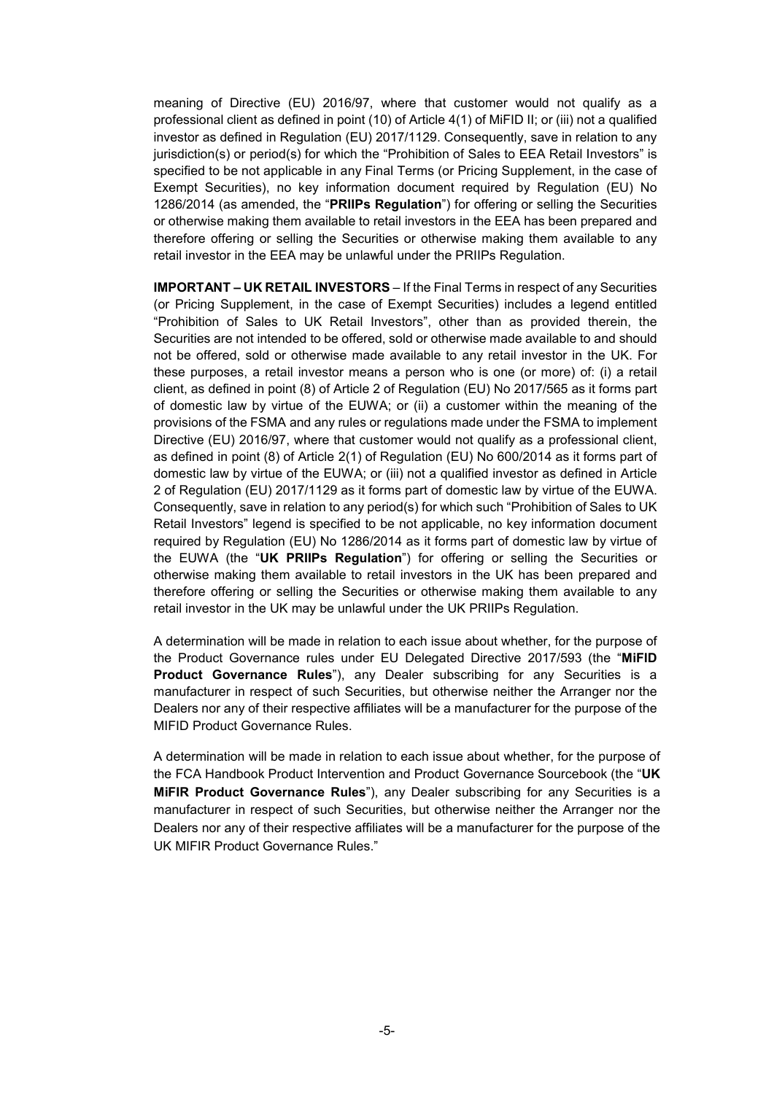meaning of Directive (EU) 2016/97, where that customer would not qualify as a professional client as defined in point (10) of Article 4(1) of MiFID II; or (iii) not a qualified investor as defined in Regulation (EU) 2017/1129. Consequently, save in relation to any jurisdiction(s) or period(s) for which the "Prohibition of Sales to EEA Retail Investors" is specified to be not applicable in any Final Terms (or Pricing Supplement, in the case of Exempt Securities), no key information document required by Regulation (EU) No 1286/2014 (as amended, the "**PRIIPs Regulation**") for offering or selling the Securities or otherwise making them available to retail investors in the EEA has been prepared and therefore offering or selling the Securities or otherwise making them available to any retail investor in the EEA may be unlawful under the PRIIPs Regulation.

**IMPORTANT – UK RETAIL INVESTORS** – If the Final Terms in respect of any Securities (or Pricing Supplement, in the case of Exempt Securities) includes a legend entitled "Prohibition of Sales to UK Retail Investors", other than as provided therein, the Securities are not intended to be offered, sold or otherwise made available to and should not be offered, sold or otherwise made available to any retail investor in the UK. For these purposes, a retail investor means a person who is one (or more) of: (i) a retail client, as defined in point (8) of Article 2 of Regulation (EU) No 2017/565 as it forms part of domestic law by virtue of the EUWA; or (ii) a customer within the meaning of the provisions of the FSMA and any rules or regulations made under the FSMA to implement Directive (EU) 2016/97, where that customer would not qualify as a professional client, as defined in point (8) of Article 2(1) of Regulation (EU) No 600/2014 as it forms part of domestic law by virtue of the EUWA; or (iii) not a qualified investor as defined in Article 2 of Regulation (EU) 2017/1129 as it forms part of domestic law by virtue of the EUWA. Consequently, save in relation to any period(s) for which such "Prohibition of Sales to UK Retail Investors" legend is specified to be not applicable, no key information document required by Regulation (EU) No 1286/2014 as it forms part of domestic law by virtue of the EUWA (the "**UK PRIIPs Regulation**") for offering or selling the Securities or otherwise making them available to retail investors in the UK has been prepared and therefore offering or selling the Securities or otherwise making them available to any retail investor in the UK may be unlawful under the UK PRIIPs Regulation.

A determination will be made in relation to each issue about whether, for the purpose of the Product Governance rules under EU Delegated Directive 2017/593 (the "**MiFID Product Governance Rules**"), any Dealer subscribing for any Securities is a manufacturer in respect of such Securities, but otherwise neither the Arranger nor the Dealers nor any of their respective affiliates will be a manufacturer for the purpose of the MIFID Product Governance Rules.

A determination will be made in relation to each issue about whether, for the purpose of the FCA Handbook Product Intervention and Product Governance Sourcebook (the "**UK MiFIR Product Governance Rules**"), any Dealer subscribing for any Securities is a manufacturer in respect of such Securities, but otherwise neither the Arranger nor the Dealers nor any of their respective affiliates will be a manufacturer for the purpose of the UK MIFIR Product Governance Rules."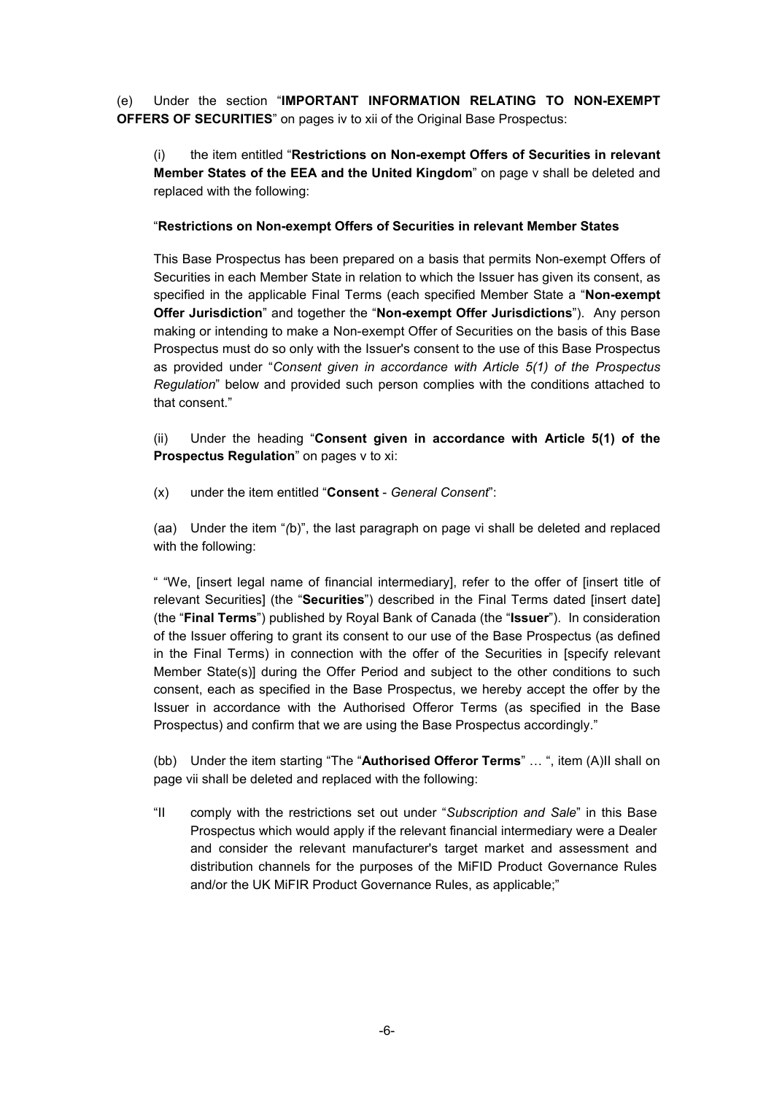(e) Under the section "**IMPORTANT INFORMATION RELATING TO NON-EXEMPT OFFERS OF SECURITIES**" on pages iv to xii of the Original Base Prospectus:

(i) the item entitled "**Restrictions on Non-exempt Offers of Securities in relevant Member States of the EEA and the United Kingdom**" on page v shall be deleted and replaced with the following:

### "**Restrictions on Non-exempt Offers of Securities in relevant Member States**

This Base Prospectus has been prepared on a basis that permits Non-exempt Offers of Securities in each Member State in relation to which the Issuer has given its consent, as specified in the applicable Final Terms (each specified Member State a "**Non-exempt Offer Jurisdiction**" and together the "**Non-exempt Offer Jurisdictions**"). Any person making or intending to make a Non-exempt Offer of Securities on the basis of this Base Prospectus must do so only with the Issuer's consent to the use of this Base Prospectus as provided under "*Consent given in accordance with Article 5(1) of the Prospectus Regulation*" below and provided such person complies with the conditions attached to that consent."

(ii) Under the heading "**Consent given in accordance with Article 5(1) of the Prospectus Regulation**" on pages v to xi:

(x) under the item entitled "**Consent** - *General Consent*":

(aa) Under the item "*(*b)", the last paragraph on page vi shall be deleted and replaced with the following:

" "We, [insert legal name of financial intermediary], refer to the offer of [insert title of relevant Securities] (the "**Securities**") described in the Final Terms dated [insert date] (the "**Final Terms**") published by Royal Bank of Canada (the "**Issuer**"). In consideration of the Issuer offering to grant its consent to our use of the Base Prospectus (as defined in the Final Terms) in connection with the offer of the Securities in [specify relevant Member State(s)] during the Offer Period and subject to the other conditions to such consent, each as specified in the Base Prospectus, we hereby accept the offer by the Issuer in accordance with the Authorised Offeror Terms (as specified in the Base Prospectus) and confirm that we are using the Base Prospectus accordingly."

(bb) Under the item starting "The "**Authorised Offeror Terms**" … ", item (A)II shall on page vii shall be deleted and replaced with the following:

"II comply with the restrictions set out under "*Subscription and Sale*" in this Base Prospectus which would apply if the relevant financial intermediary were a Dealer and consider the relevant manufacturer's target market and assessment and distribution channels for the purposes of the MiFID Product Governance Rules and/or the UK MiFIR Product Governance Rules, as applicable;"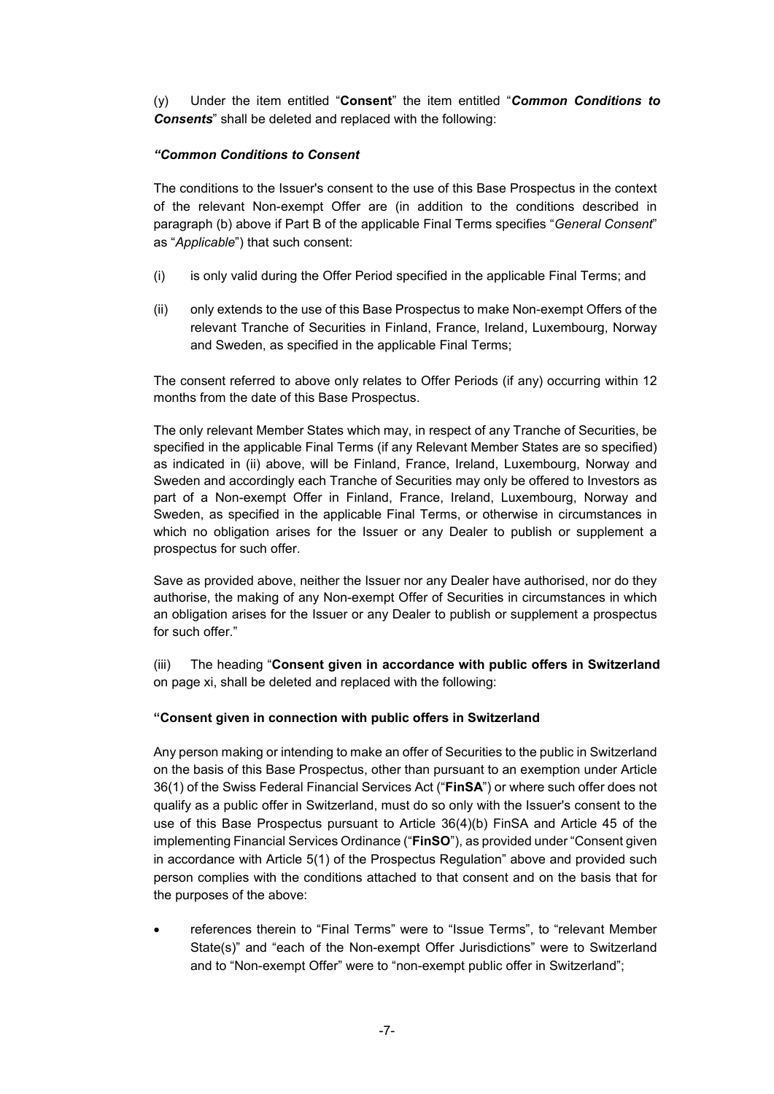(y) Under the item entitled "**Consent**" the item entitled "*Common Conditions to Consents*" shall be deleted and replaced with the following:

### *"Common Conditions to Consent*

The conditions to the Issuer's consent to the use of this Base Prospectus in the context of the relevant Non-exempt Offer are (in addition to the conditions described in paragraph (b) above if Part B of the applicable Final Terms specifies "*General Consent*" as "*Applicable*") that such consent:

- (i) is only valid during the Offer Period specified in the applicable Final Terms; and
- (ii) only extends to the use of this Base Prospectus to make Non-exempt Offers of the relevant Tranche of Securities in Finland, France, Ireland, Luxembourg, Norway and Sweden, as specified in the applicable Final Terms;

The consent referred to above only relates to Offer Periods (if any) occurring within 12 months from the date of this Base Prospectus.

The only relevant Member States which may, in respect of any Tranche of Securities, be specified in the applicable Final Terms (if any Relevant Member States are so specified) as indicated in (ii) above, will be Finland, France, Ireland, Luxembourg, Norway and Sweden and accordingly each Tranche of Securities may only be offered to Investors as part of a Non-exempt Offer in Finland, France, Ireland, Luxembourg, Norway and Sweden, as specified in the applicable Final Terms, or otherwise in circumstances in which no obligation arises for the Issuer or any Dealer to publish or supplement a prospectus for such offer.

Save as provided above, neither the Issuer nor any Dealer have authorised, nor do they authorise, the making of any Non-exempt Offer of Securities in circumstances in which an obligation arises for the Issuer or any Dealer to publish or supplement a prospectus for such offer."

(iii) The heading "**Consent given in accordance with public offers in Switzerland** on page xi, shall be deleted and replaced with the following:

### **"Consent given in connection with public offers in Switzerland**

Any person making or intending to make an offer of Securities to the public in Switzerland on the basis of this Base Prospectus, other than pursuant to an exemption under Article 36(1) of the Swiss Federal Financial Services Act ("**FinSA**") or where such offer does not qualify as a public offer in Switzerland, must do so only with the Issuer's consent to the use of this Base Prospectus pursuant to Article 36(4)(b) FinSA and Article 45 of the implementing Financial Services Ordinance ("**FinSO**"), as provided under "Consent given in accordance with Article 5(1) of the Prospectus Regulation" above and provided such person complies with the conditions attached to that consent and on the basis that for the purposes of the above:

 references therein to "Final Terms" were to "Issue Terms", to "relevant Member State(s)" and "each of the Non-exempt Offer Jurisdictions" were to Switzerland and to "Non-exempt Offer" were to "non-exempt public offer in Switzerland";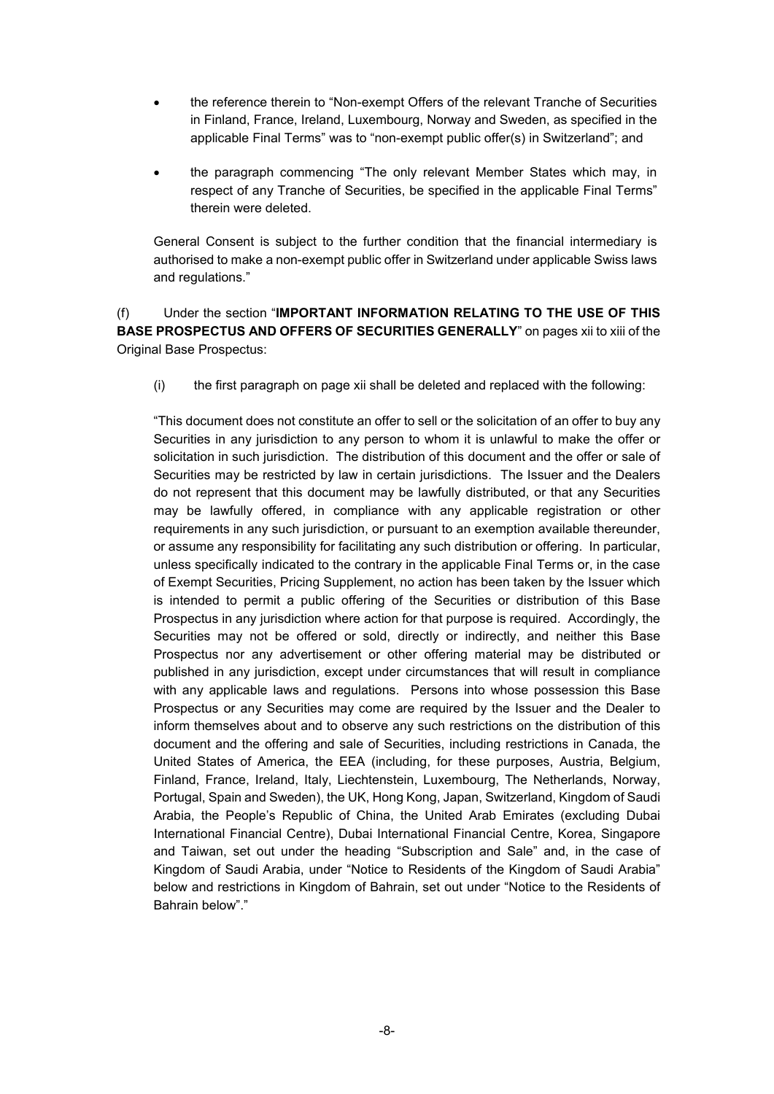- the reference therein to "Non-exempt Offers of the relevant Tranche of Securities in Finland, France, Ireland, Luxembourg, Norway and Sweden, as specified in the applicable Final Terms" was to "non-exempt public offer(s) in Switzerland"; and
- the paragraph commencing "The only relevant Member States which may, in respect of any Tranche of Securities, be specified in the applicable Final Terms" therein were deleted.

General Consent is subject to the further condition that the financial intermediary is authorised to make a non-exempt public offer in Switzerland under applicable Swiss laws and regulations."

# (f) Under the section "**IMPORTANT INFORMATION RELATING TO THE USE OF THIS BASE PROSPECTUS AND OFFERS OF SECURITIES GENERALLY**" on pages xii to xiii of the Original Base Prospectus:

(i) the first paragraph on page xii shall be deleted and replaced with the following:

"This document does not constitute an offer to sell or the solicitation of an offer to buy any Securities in any jurisdiction to any person to whom it is unlawful to make the offer or solicitation in such jurisdiction. The distribution of this document and the offer or sale of Securities may be restricted by law in certain jurisdictions. The Issuer and the Dealers do not represent that this document may be lawfully distributed, or that any Securities may be lawfully offered, in compliance with any applicable registration or other requirements in any such jurisdiction, or pursuant to an exemption available thereunder, or assume any responsibility for facilitating any such distribution or offering. In particular, unless specifically indicated to the contrary in the applicable Final Terms or, in the case of Exempt Securities, Pricing Supplement, no action has been taken by the Issuer which is intended to permit a public offering of the Securities or distribution of this Base Prospectus in any jurisdiction where action for that purpose is required. Accordingly, the Securities may not be offered or sold, directly or indirectly, and neither this Base Prospectus nor any advertisement or other offering material may be distributed or published in any jurisdiction, except under circumstances that will result in compliance with any applicable laws and regulations. Persons into whose possession this Base Prospectus or any Securities may come are required by the Issuer and the Dealer to inform themselves about and to observe any such restrictions on the distribution of this document and the offering and sale of Securities, including restrictions in Canada, the United States of America, the EEA (including, for these purposes, Austria, Belgium, Finland, France, Ireland, Italy, Liechtenstein, Luxembourg, The Netherlands, Norway, Portugal, Spain and Sweden), the UK, Hong Kong, Japan, Switzerland, Kingdom of Saudi Arabia, the People's Republic of China, the United Arab Emirates (excluding Dubai International Financial Centre), Dubai International Financial Centre, Korea, Singapore and Taiwan, set out under the heading "Subscription and Sale" and, in the case of Kingdom of Saudi Arabia, under "Notice to Residents of the Kingdom of Saudi Arabia" below and restrictions in Kingdom of Bahrain, set out under "Notice to the Residents of Bahrain below"."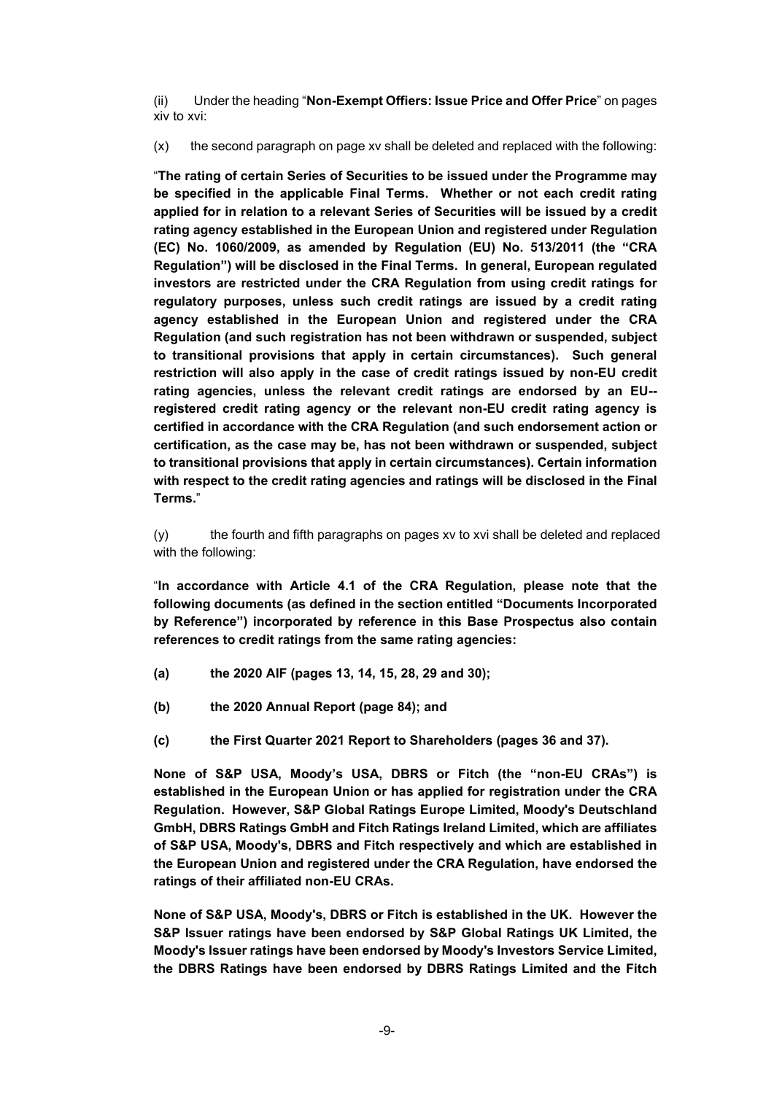(ii) Under the heading "**Non-Exempt Offiers: Issue Price and Offer Price**" on pages xiv to xvi:

(x) the second paragraph on page xv shall be deleted and replaced with the following:

"**The rating of certain Series of Securities to be issued under the Programme may be specified in the applicable Final Terms. Whether or not each credit rating applied for in relation to a relevant Series of Securities will be issued by a credit rating agency established in the European Union and registered under Regulation (EC) No. 1060/2009, as amended by Regulation (EU) No. 513/2011 (the "CRA Regulation") will be disclosed in the Final Terms. In general, European regulated investors are restricted under the CRA Regulation from using credit ratings for regulatory purposes, unless such credit ratings are issued by a credit rating agency established in the European Union and registered under the CRA Regulation (and such registration has not been withdrawn or suspended, subject to transitional provisions that apply in certain circumstances). Such general restriction will also apply in the case of credit ratings issued by non-EU credit rating agencies, unless the relevant credit ratings are endorsed by an EU- registered credit rating agency or the relevant non-EU credit rating agency is certified in accordance with the CRA Regulation (and such endorsement action or certification, as the case may be, has not been withdrawn or suspended, subject to transitional provisions that apply in certain circumstances). Certain information with respect to the credit rating agencies and ratings will be disclosed in the Final Terms.**"

(y) the fourth and fifth paragraphs on pages xv to xvi shall be deleted and replaced with the following:

"**In accordance with Article 4.1 of the CRA Regulation, please note that the following documents (as defined in the section entitled "Documents Incorporated by Reference") incorporated by reference in this Base Prospectus also contain references to credit ratings from the same rating agencies:**

- **(a) the 2020 AIF (pages 13, 14, 15, 28, 29 and 30);**
- **(b) the 2020 Annual Report (page 84); and**
- **(c) the First Quarter 2021 Report to Shareholders (pages 36 and 37).**

**None of S&P USA, Moody's USA, DBRS or Fitch (the "non-EU CRAs") is established in the European Union or has applied for registration under the CRA Regulation. However, S&P Global Ratings Europe Limited, Moody's Deutschland GmbH, DBRS Ratings GmbH and Fitch Ratings Ireland Limited, which are affiliates of S&P USA, Moody's, DBRS and Fitch respectively and which are established in the European Union and registered under the CRA Regulation, have endorsed the ratings of their affiliated non-EU CRAs.** 

**None of S&P USA, Moody's, DBRS or Fitch is established in the UK. However the S&P Issuer ratings have been endorsed by S&P Global Ratings UK Limited, the Moody's Issuer ratings have been endorsed by Moody's Investors Service Limited, the DBRS Ratings have been endorsed by DBRS Ratings Limited and the Fitch**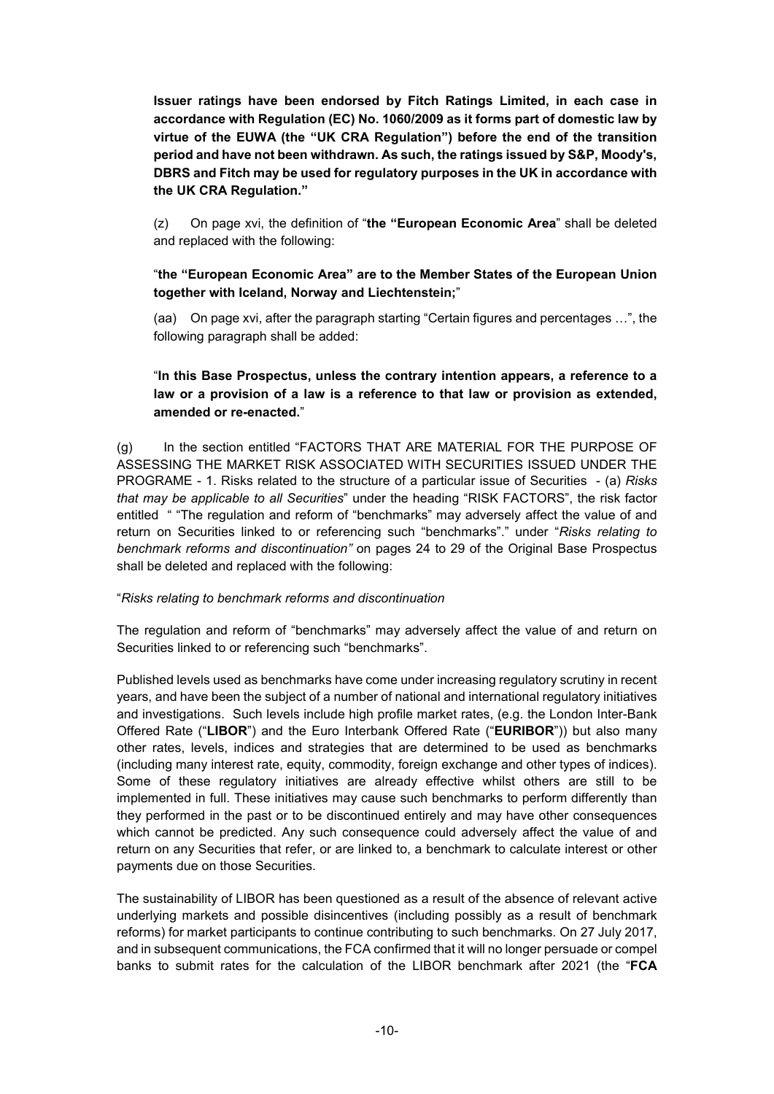**Issuer ratings have been endorsed by Fitch Ratings Limited, in each case in accordance with Regulation (EC) No. 1060/2009 as it forms part of domestic law by virtue of the EUWA (the "UK CRA Regulation") before the end of the transition period and have not been withdrawn. As such, the ratings issued by S&P, Moody's, DBRS and Fitch may be used for regulatory purposes in the UK in accordance with the UK CRA Regulation."**

(z) On page xvi, the definition of "**the "European Economic Area**" shall be deleted and replaced with the following:

# "**the "European Economic Area" are to the Member States of the European Union together with Iceland, Norway and Liechtenstein;**"

(aa) On page xvi, after the paragraph starting "Certain figures and percentages …", the following paragraph shall be added:

# "**In this Base Prospectus, unless the contrary intention appears, a reference to a law or a provision of a law is a reference to that law or provision as extended, amended or re-enacted.**"

(g) In the section entitled "FACTORS THAT ARE MATERIAL FOR THE PURPOSE OF ASSESSING THE MARKET RISK ASSOCIATED WITH SECURITIES ISSUED UNDER THE PROGRAME - 1. Risks related to the structure of a particular issue of Securities - (a) *Risks that may be applicable to all Securities*" under the heading "RISK FACTORS", the risk factor entitled " "The regulation and reform of "benchmarks" may adversely affect the value of and return on Securities linked to or referencing such "benchmarks"." under "*Risks relating to benchmark reforms and discontinuation"* on pages 24 to 29 of the Original Base Prospectus shall be deleted and replaced with the following:

### "*Risks relating to benchmark reforms and discontinuation*

The regulation and reform of "benchmarks" may adversely affect the value of and return on Securities linked to or referencing such "benchmarks".

Published levels used as benchmarks have come under increasing regulatory scrutiny in recent years, and have been the subject of a number of national and international regulatory initiatives and investigations. Such levels include high profile market rates, (e.g. the London Inter-Bank Offered Rate ("**LIBOR**") and the Euro Interbank Offered Rate ("**EURIBOR**")) but also many other rates, levels, indices and strategies that are determined to be used as benchmarks (including many interest rate, equity, commodity, foreign exchange and other types of indices). Some of these regulatory initiatives are already effective whilst others are still to be implemented in full. These initiatives may cause such benchmarks to perform differently than they performed in the past or to be discontinued entirely and may have other consequences which cannot be predicted. Any such consequence could adversely affect the value of and return on any Securities that refer, or are linked to, a benchmark to calculate interest or other payments due on those Securities.

The sustainability of LIBOR has been questioned as a result of the absence of relevant active underlying markets and possible disincentives (including possibly as a result of benchmark reforms) for market participants to continue contributing to such benchmarks. On 27 July 2017, and in subsequent communications, the FCA confirmed that it will no longer persuade or compel banks to submit rates for the calculation of the LIBOR benchmark after 2021 (the "**FCA**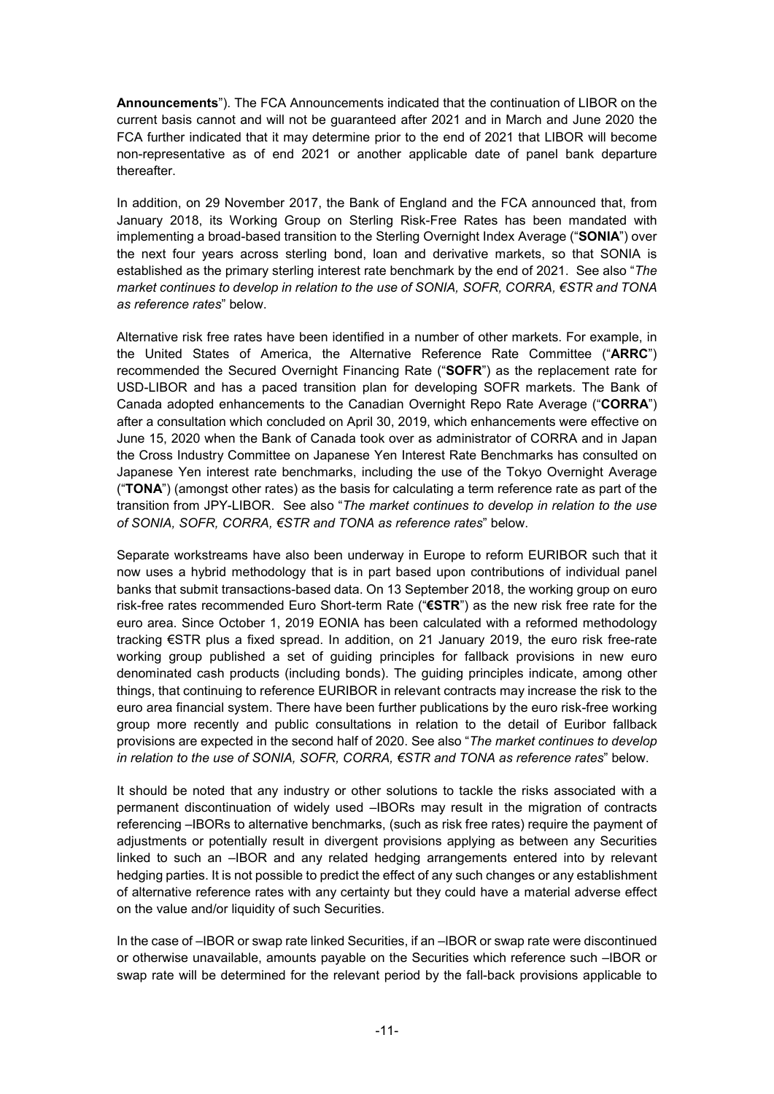**Announcements**"). The FCA Announcements indicated that the continuation of LIBOR on the current basis cannot and will not be guaranteed after 2021 and in March and June 2020 the FCA further indicated that it may determine prior to the end of 2021 that LIBOR will become non-representative as of end 2021 or another applicable date of panel bank departure thereafter.

In addition, on 29 November 2017, the Bank of England and the FCA announced that, from January 2018, its Working Group on Sterling Risk-Free Rates has been mandated with implementing a broad-based transition to the Sterling Overnight Index Average ("**SONIA**") over the next four years across sterling bond, loan and derivative markets, so that SONIA is established as the primary sterling interest rate benchmark by the end of 2021. See also "*The market continues to develop in relation to the use of SONIA, SOFR, CORRA, €STR and TONA as reference rates*" below.

Alternative risk free rates have been identified in a number of other markets. For example, in the United States of America, the Alternative Reference Rate Committee ("**ARRC**") recommended the Secured Overnight Financing Rate ("**SOFR**") as the replacement rate for USD-LIBOR and has a paced transition plan for developing SOFR markets. The Bank of Canada adopted enhancements to the Canadian Overnight Repo Rate Average ("**CORRA**") after a consultation which concluded on April 30, 2019, which enhancements were effective on June 15, 2020 when the Bank of Canada took over as administrator of CORRA and in Japan the Cross Industry Committee on Japanese Yen Interest Rate Benchmarks has consulted on Japanese Yen interest rate benchmarks, including the use of the Tokyo Overnight Average ("**TONA**") (amongst other rates) as the basis for calculating a term reference rate as part of the transition from JPY-LIBOR. See also "*The market continues to develop in relation to the use of SONIA, SOFR, CORRA, €STR and TONA as reference rates*" below.

Separate workstreams have also been underway in Europe to reform EURIBOR such that it now uses a hybrid methodology that is in part based upon contributions of individual panel banks that submit transactions-based data. On 13 September 2018, the working group on euro risk-free rates recommended Euro Short-term Rate ("**€STR**") as the new risk free rate for the euro area. Since October 1, 2019 EONIA has been calculated with a reformed methodology tracking €STR plus a fixed spread. In addition, on 21 January 2019, the euro risk free-rate working group published a set of guiding principles for fallback provisions in new euro denominated cash products (including bonds). The guiding principles indicate, among other things, that continuing to reference EURIBOR in relevant contracts may increase the risk to the euro area financial system. There have been further publications by the euro risk-free working group more recently and public consultations in relation to the detail of Euribor fallback provisions are expected in the second half of 2020. See also "*The market continues to develop in relation to the use of SONIA, SOFR, CORRA, €STR and TONA as reference rates*" below.

It should be noted that any industry or other solutions to tackle the risks associated with a permanent discontinuation of widely used –IBORs may result in the migration of contracts referencing –IBORs to alternative benchmarks, (such as risk free rates) require the payment of adjustments or potentially result in divergent provisions applying as between any Securities linked to such an –IBOR and any related hedging arrangements entered into by relevant hedging parties. It is not possible to predict the effect of any such changes or any establishment of alternative reference rates with any certainty but they could have a material adverse effect on the value and/or liquidity of such Securities.

In the case of –IBOR or swap rate linked Securities, if an –IBOR or swap rate were discontinued or otherwise unavailable, amounts payable on the Securities which reference such –IBOR or swap rate will be determined for the relevant period by the fall-back provisions applicable to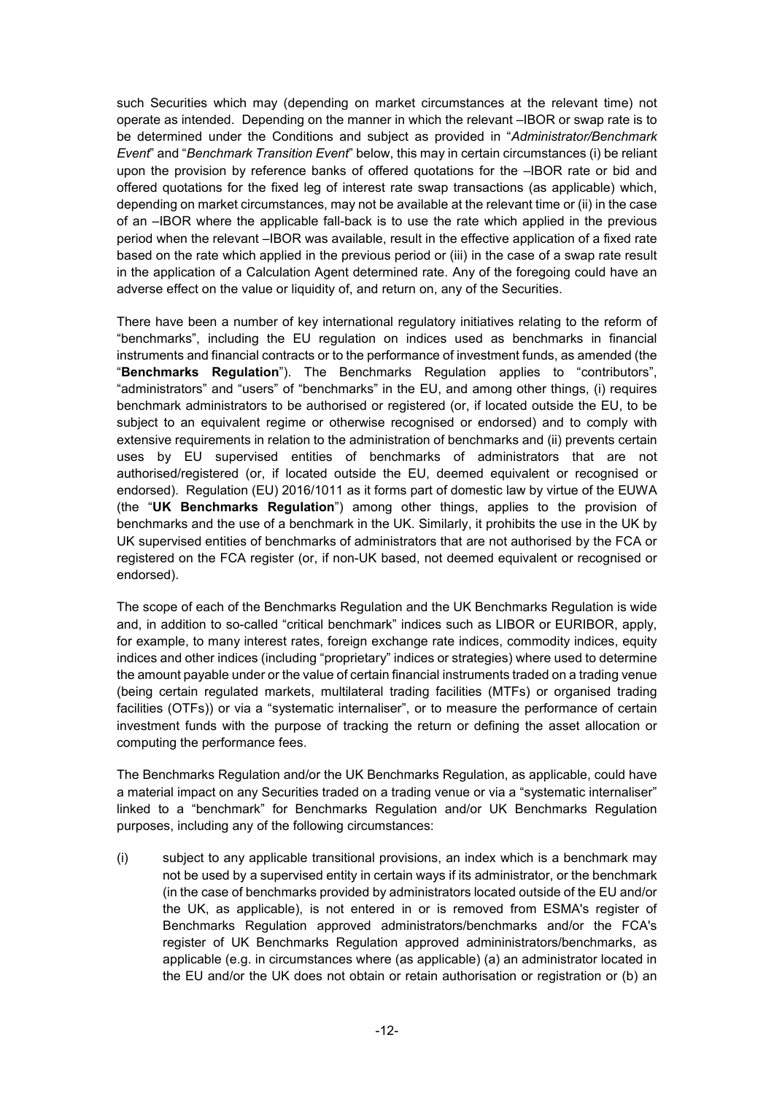such Securities which may (depending on market circumstances at the relevant time) not operate as intended. Depending on the manner in which the relevant –IBOR or swap rate is to be determined under the Conditions and subject as provided in "*Administrator/Benchmark Event*" and "*Benchmark Transition Event*" below, this may in certain circumstances (i) be reliant upon the provision by reference banks of offered quotations for the –IBOR rate or bid and offered quotations for the fixed leg of interest rate swap transactions (as applicable) which, depending on market circumstances, may not be available at the relevant time or (ii) in the case of an –IBOR where the applicable fall-back is to use the rate which applied in the previous period when the relevant –IBOR was available, result in the effective application of a fixed rate based on the rate which applied in the previous period or (iii) in the case of a swap rate result in the application of a Calculation Agent determined rate. Any of the foregoing could have an adverse effect on the value or liquidity of, and return on, any of the Securities.

There have been a number of key international regulatory initiatives relating to the reform of "benchmarks", including the EU regulation on indices used as benchmarks in financial instruments and financial contracts or to the performance of investment funds, as amended (the "**Benchmarks Regulation**"). The Benchmarks Regulation applies to "contributors", "administrators" and "users" of "benchmarks" in the EU, and among other things, (i) requires benchmark administrators to be authorised or registered (or, if located outside the EU, to be subject to an equivalent regime or otherwise recognised or endorsed) and to comply with extensive requirements in relation to the administration of benchmarks and (ii) prevents certain uses by EU supervised entities of benchmarks of administrators that are not authorised/registered (or, if located outside the EU, deemed equivalent or recognised or endorsed). Regulation (EU) 2016/1011 as it forms part of domestic law by virtue of the EUWA (the "**UK Benchmarks Regulation**") among other things, applies to the provision of benchmarks and the use of a benchmark in the UK. Similarly, it prohibits the use in the UK by UK supervised entities of benchmarks of administrators that are not authorised by the FCA or registered on the FCA register (or, if non-UK based, not deemed equivalent or recognised or endorsed).

The scope of each of the Benchmarks Regulation and the UK Benchmarks Regulation is wide and, in addition to so-called "critical benchmark" indices such as LIBOR or EURIBOR, apply, for example, to many interest rates, foreign exchange rate indices, commodity indices, equity indices and other indices (including "proprietary" indices or strategies) where used to determine the amount payable under or the value of certain financial instruments traded on a trading venue (being certain regulated markets, multilateral trading facilities (MTFs) or organised trading facilities (OTFs)) or via a "systematic internaliser", or to measure the performance of certain investment funds with the purpose of tracking the return or defining the asset allocation or computing the performance fees.

The Benchmarks Regulation and/or the UK Benchmarks Regulation, as applicable, could have a material impact on any Securities traded on a trading venue or via a "systematic internaliser" linked to a "benchmark" for Benchmarks Regulation and/or UK Benchmarks Regulation purposes, including any of the following circumstances:

(i) subject to any applicable transitional provisions, an index which is a benchmark may not be used by a supervised entity in certain ways if its administrator, or the benchmark (in the case of benchmarks provided by administrators located outside of the EU and/or the UK, as applicable), is not entered in or is removed from ESMA's register of Benchmarks Regulation approved administrators/benchmarks and/or the FCA's register of UK Benchmarks Regulation approved admininistrators/benchmarks, as applicable (e.g. in circumstances where (as applicable) (a) an administrator located in the EU and/or the UK does not obtain or retain authorisation or registration or (b) an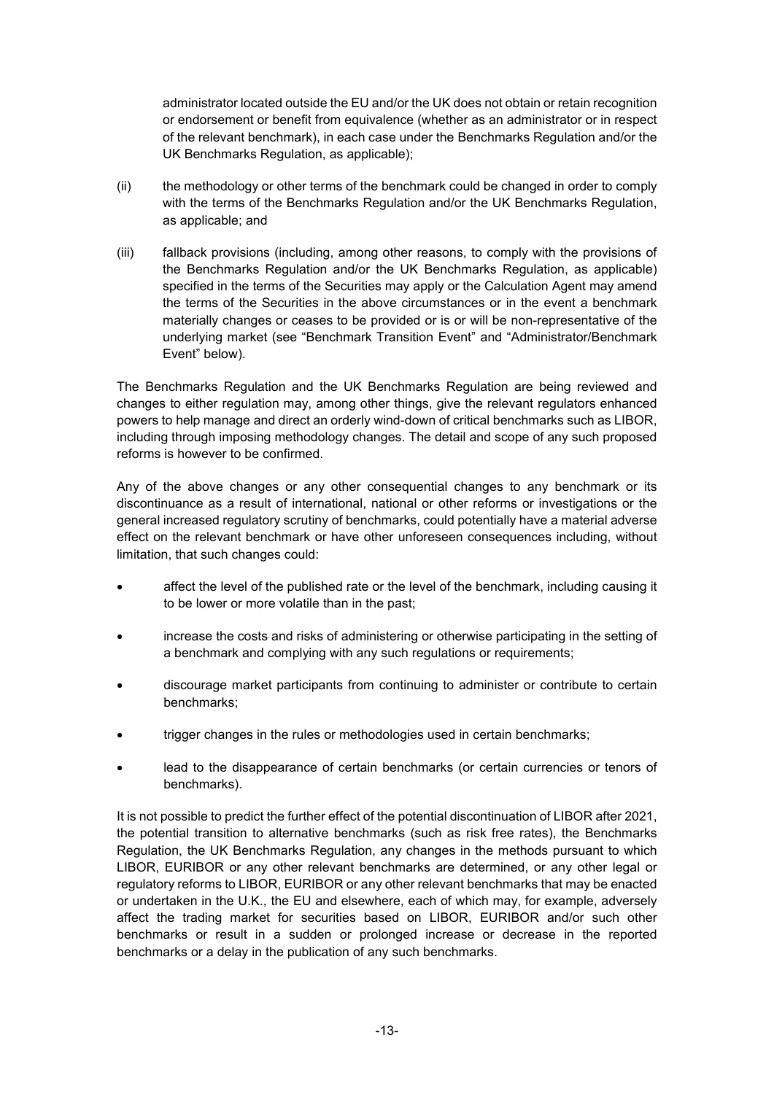administrator located outside the EU and/or the UK does not obtain or retain recognition or endorsement or benefit from equivalence (whether as an administrator or in respect of the relevant benchmark), in each case under the Benchmarks Regulation and/or the UK Benchmarks Regulation, as applicable);

- (ii) the methodology or other terms of the benchmark could be changed in order to comply with the terms of the Benchmarks Regulation and/or the UK Benchmarks Regulation, as applicable; and
- (iii) fallback provisions (including, among other reasons, to comply with the provisions of the Benchmarks Regulation and/or the UK Benchmarks Regulation, as applicable) specified in the terms of the Securities may apply or the Calculation Agent may amend the terms of the Securities in the above circumstances or in the event a benchmark materially changes or ceases to be provided or is or will be non-representative of the underlying market (see "Benchmark Transition Event" and "Administrator/Benchmark Event" below).

The Benchmarks Regulation and the UK Benchmarks Regulation are being reviewed and changes to either regulation may, among other things, give the relevant regulators enhanced powers to help manage and direct an orderly wind-down of critical benchmarks such as LIBOR, including through imposing methodology changes. The detail and scope of any such proposed reforms is however to be confirmed.

Any of the above changes or any other consequential changes to any benchmark or its discontinuance as a result of international, national or other reforms or investigations or the general increased regulatory scrutiny of benchmarks, could potentially have a material adverse effect on the relevant benchmark or have other unforeseen consequences including, without limitation, that such changes could:

- affect the level of the published rate or the level of the benchmark, including causing it to be lower or more volatile than in the past;
- increase the costs and risks of administering or otherwise participating in the setting of a benchmark and complying with any such regulations or requirements;
- discourage market participants from continuing to administer or contribute to certain benchmarks;
- trigger changes in the rules or methodologies used in certain benchmarks;
- lead to the disappearance of certain benchmarks (or certain currencies or tenors of benchmarks).

It is not possible to predict the further effect of the potential discontinuation of LIBOR after 2021, the potential transition to alternative benchmarks (such as risk free rates), the Benchmarks Regulation, the UK Benchmarks Regulation, any changes in the methods pursuant to which LIBOR, EURIBOR or any other relevant benchmarks are determined, or any other legal or regulatory reforms to LIBOR, EURIBOR or any other relevant benchmarks that may be enacted or undertaken in the U.K., the EU and elsewhere, each of which may, for example, adversely affect the trading market for securities based on LIBOR, EURIBOR and/or such other benchmarks or result in a sudden or prolonged increase or decrease in the reported benchmarks or a delay in the publication of any such benchmarks.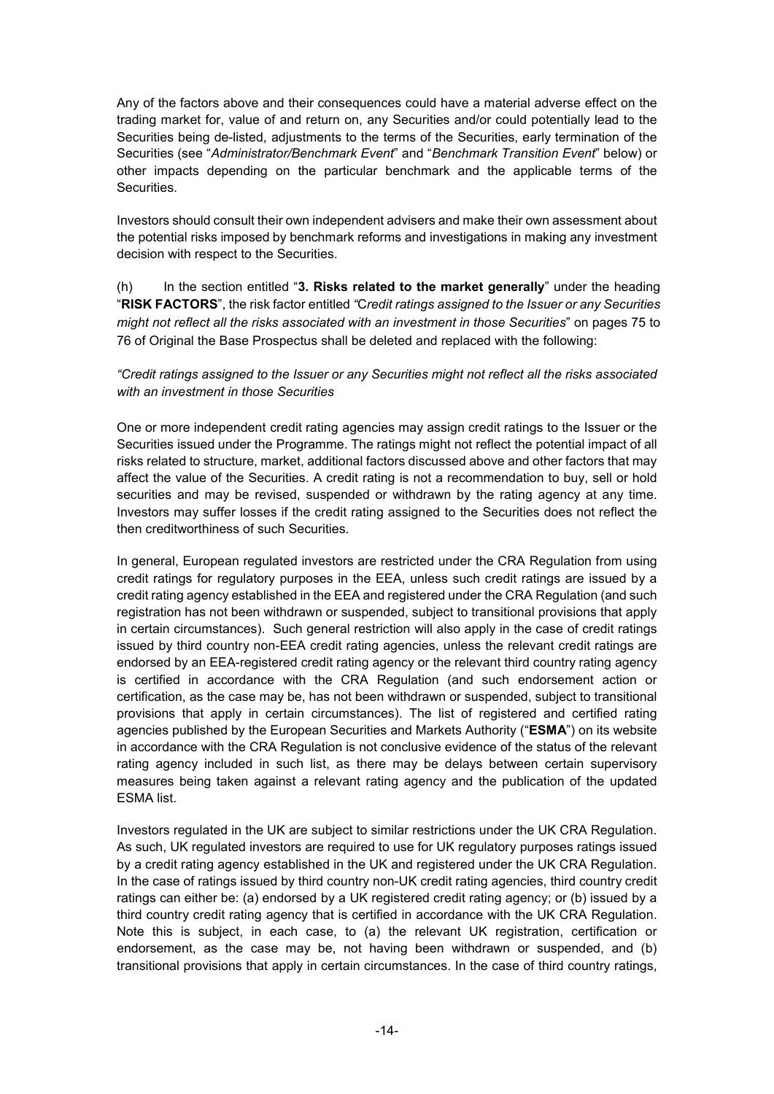Any of the factors above and their consequences could have a material adverse effect on the trading market for, value of and return on, any Securities and/or could potentially lead to the Securities being de-listed, adjustments to the terms of the Securities, early termination of the Securities (see "*Administrator/Benchmark Event*" and "*Benchmark Transition Event*" below) or other impacts depending on the particular benchmark and the applicable terms of the **Securities** 

Investors should consult their own independent advisers and make their own assessment about the potential risks imposed by benchmark reforms and investigations in making any investment decision with respect to the Securities.

(h) In the section entitled "**3. Risks related to the market generally**" under the heading "**RISK FACTORS**", the risk factor entitled *"*C*redit ratings assigned to the Issuer or any Securities might not reflect all the risks associated with an investment in those Securities*" on pages 75 to 76 of Original the Base Prospectus shall be deleted and replaced with the following:

# *"Credit ratings assigned to the Issuer or any Securities might not reflect all the risks associated with an investment in those Securities*

One or more independent credit rating agencies may assign credit ratings to the Issuer or the Securities issued under the Programme. The ratings might not reflect the potential impact of all risks related to structure, market, additional factors discussed above and other factors that may affect the value of the Securities. A credit rating is not a recommendation to buy, sell or hold securities and may be revised, suspended or withdrawn by the rating agency at any time. Investors may suffer losses if the credit rating assigned to the Securities does not reflect the then creditworthiness of such Securities.

In general, European regulated investors are restricted under the CRA Regulation from using credit ratings for regulatory purposes in the EEA, unless such credit ratings are issued by a credit rating agency established in the EEA and registered under the CRA Regulation (and such registration has not been withdrawn or suspended, subject to transitional provisions that apply in certain circumstances). Such general restriction will also apply in the case of credit ratings issued by third country non-EEA credit rating agencies, unless the relevant credit ratings are endorsed by an EEA-registered credit rating agency or the relevant third country rating agency is certified in accordance with the CRA Regulation (and such endorsement action or certification, as the case may be, has not been withdrawn or suspended, subject to transitional provisions that apply in certain circumstances). The list of registered and certified rating agencies published by the European Securities and Markets Authority ("**ESMA**") on its website in accordance with the CRA Regulation is not conclusive evidence of the status of the relevant rating agency included in such list, as there may be delays between certain supervisory measures being taken against a relevant rating agency and the publication of the updated ESMA list.

Investors regulated in the UK are subject to similar restrictions under the UK CRA Regulation. As such, UK regulated investors are required to use for UK regulatory purposes ratings issued by a credit rating agency established in the UK and registered under the UK CRA Regulation. In the case of ratings issued by third country non-UK credit rating agencies, third country credit ratings can either be: (a) endorsed by a UK registered credit rating agency; or (b) issued by a third country credit rating agency that is certified in accordance with the UK CRA Regulation. Note this is subject, in each case, to (a) the relevant UK registration, certification or endorsement, as the case may be, not having been withdrawn or suspended, and (b) transitional provisions that apply in certain circumstances. In the case of third country ratings,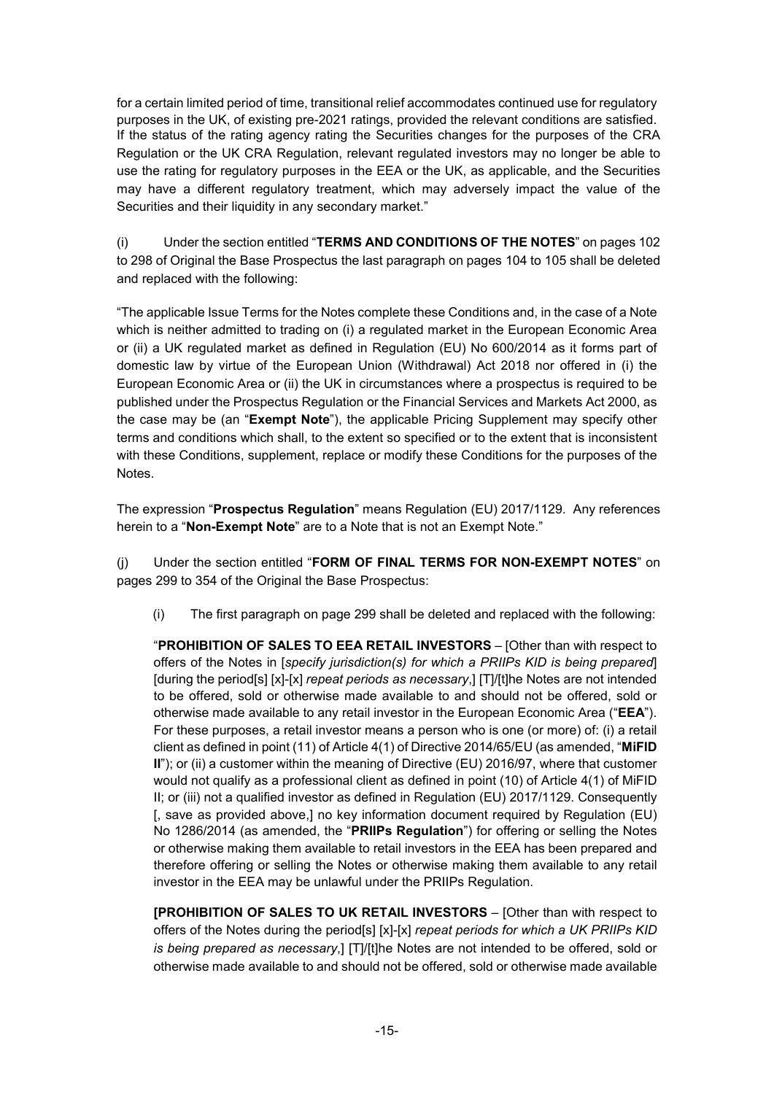for a certain limited period of time, transitional relief accommodates continued use for regulatory purposes in the UK, of existing pre-2021 ratings, provided the relevant conditions are satisfied. If the status of the rating agency rating the Securities changes for the purposes of the CRA Regulation or the UK CRA Regulation, relevant regulated investors may no longer be able to use the rating for regulatory purposes in the EEA or the UK, as applicable, and the Securities may have a different regulatory treatment, which may adversely impact the value of the Securities and their liquidity in any secondary market."

(i) Under the section entitled "**TERMS AND CONDITIONS OF THE NOTES**" on pages 102 to 298 of Original the Base Prospectus the last paragraph on pages 104 to 105 shall be deleted and replaced with the following:

"The applicable Issue Terms for the Notes complete these Conditions and, in the case of a Note which is neither admitted to trading on (i) a regulated market in the European Economic Area or (ii) a UK regulated market as defined in Regulation (EU) No 600/2014 as it forms part of domestic law by virtue of the European Union (Withdrawal) Act 2018 nor offered in (i) the European Economic Area or (ii) the UK in circumstances where a prospectus is required to be published under the Prospectus Regulation or the Financial Services and Markets Act 2000, as the case may be (an "**Exempt Note**"), the applicable Pricing Supplement may specify other terms and conditions which shall, to the extent so specified or to the extent that is inconsistent with these Conditions, supplement, replace or modify these Conditions for the purposes of the Notes.

The expression "**Prospectus Regulation**" means Regulation (EU) 2017/1129. Any references herein to a "**Non-Exempt Note**" are to a Note that is not an Exempt Note."

(j) Under the section entitled "**FORM OF FINAL TERMS FOR NON-EXEMPT NOTES**" on pages 299 to 354 of the Original the Base Prospectus:

(i) The first paragraph on page 299 shall be deleted and replaced with the following:

"**PROHIBITION OF SALES TO EEA RETAIL INVESTORS** – [Other than with respect to offers of the Notes in [*specify jurisdiction(s) for which a PRIIPs KID is being prepared*] [during the period[s] [x]-[x] *repeat periods as necessary*,] [T]/[t]he Notes are not intended to be offered, sold or otherwise made available to and should not be offered, sold or otherwise made available to any retail investor in the European Economic Area ("**EEA**"). For these purposes, a retail investor means a person who is one (or more) of: (i) a retail client as defined in point (11) of Article 4(1) of Directive 2014/65/EU (as amended, "**MiFID II**"); or (ii) a customer within the meaning of Directive (EU) 2016/97, where that customer would not qualify as a professional client as defined in point (10) of Article 4(1) of MiFID II; or (iii) not a qualified investor as defined in Regulation (EU) 2017/1129. Consequently [, save as provided above,] no key information document required by Regulation (EU) No 1286/2014 (as amended, the "**PRIIPs Regulation**") for offering or selling the Notes or otherwise making them available to retail investors in the EEA has been prepared and therefore offering or selling the Notes or otherwise making them available to any retail investor in the EEA may be unlawful under the PRIIPs Regulation.

**[PROHIBITION OF SALES TO UK RETAIL INVESTORS** – [Other than with respect to offers of the Notes during the period[s] [x]-[x] *repeat periods for which a UK PRIIPs KID is being prepared as necessary*,] [T]/[t]he Notes are not intended to be offered, sold or otherwise made available to and should not be offered, sold or otherwise made available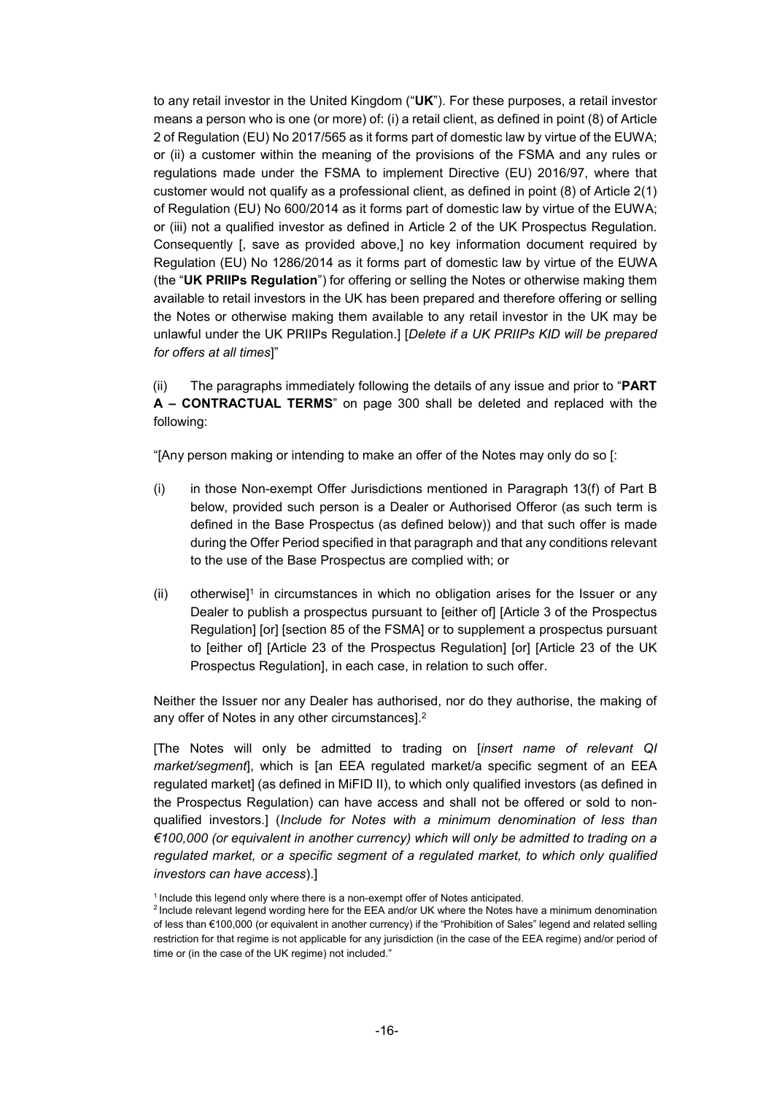to any retail investor in the United Kingdom ("**UK**"). For these purposes, a retail investor means a person who is one (or more) of: (i) a retail client, as defined in point (8) of Article 2 of Regulation (EU) No 2017/565 as it forms part of domestic law by virtue of the EUWA; or (ii) a customer within the meaning of the provisions of the FSMA and any rules or regulations made under the FSMA to implement Directive (EU) 2016/97, where that customer would not qualify as a professional client, as defined in point (8) of Article 2(1) of Regulation (EU) No 600/2014 as it forms part of domestic law by virtue of the EUWA; or (iii) not a qualified investor as defined in Article 2 of the UK Prospectus Regulation. Consequently [, save as provided above,] no key information document required by Regulation (EU) No 1286/2014 as it forms part of domestic law by virtue of the EUWA (the "**UK PRIIPs Regulation**") for offering or selling the Notes or otherwise making them available to retail investors in the UK has been prepared and therefore offering or selling the Notes or otherwise making them available to any retail investor in the UK may be unlawful under the UK PRIIPs Regulation.] [*Delete if a UK PRIIPs KID will be prepared for offers at all times*]"

(ii) The paragraphs immediately following the details of any issue and prior to "**PART A – CONTRACTUAL TERMS**" on page 300 shall be deleted and replaced with the following:

"[Any person making or intending to make an offer of the Notes may only do so [:

- (i) in those Non-exempt Offer Jurisdictions mentioned in Paragraph 13(f) of Part B below, provided such person is a Dealer or Authorised Offeror (as such term is defined in the Base Prospectus (as defined below)) and that such offer is made during the Offer Period specified in that paragraph and that any conditions relevant to the use of the Base Prospectus are complied with; or
- $(i)$  otherwise]<sup>1</sup> in circumstances in which no obligation arises for the Issuer or any Dealer to publish a prospectus pursuant to [either of] [Article 3 of the Prospectus Regulation] [or] [section 85 of the FSMA] or to supplement a prospectus pursuant to [either of] [Article 23 of the Prospectus Regulation] [or] [Article 23 of the UK Prospectus Regulation], in each case, in relation to such offer.

Neither the Issuer nor any Dealer has authorised, nor do they authorise, the making of any offer of Notes in any other circumstances].<sup>2</sup>

[The Notes will only be admitted to trading on [*insert name of relevant QI market/segment*], which is [an EEA regulated market/a specific segment of an EEA regulated market] (as defined in MiFID II), to which only qualified investors (as defined in the Prospectus Regulation) can have access and shall not be offered or sold to nonqualified investors.] (*Include for Notes with a minimum denomination of less than €100,000 (or equivalent in another currency) which will only be admitted to trading on a regulated market, or a specific segment of a regulated market, to which only qualified investors can have access*).]

 $1$  Include this legend only where there is a non-exempt offer of Notes anticipated.

<sup>2</sup>Include relevant legend wording here for the EEA and/or UK where the Notes have a minimum denomination of less than €100,000 (or equivalent in another currency) if the "Prohibition of Sales" legend and related selling restriction for that regime is not applicable for any jurisdiction (in the case of the EEA regime) and/or period of time or (in the case of the UK regime) not included."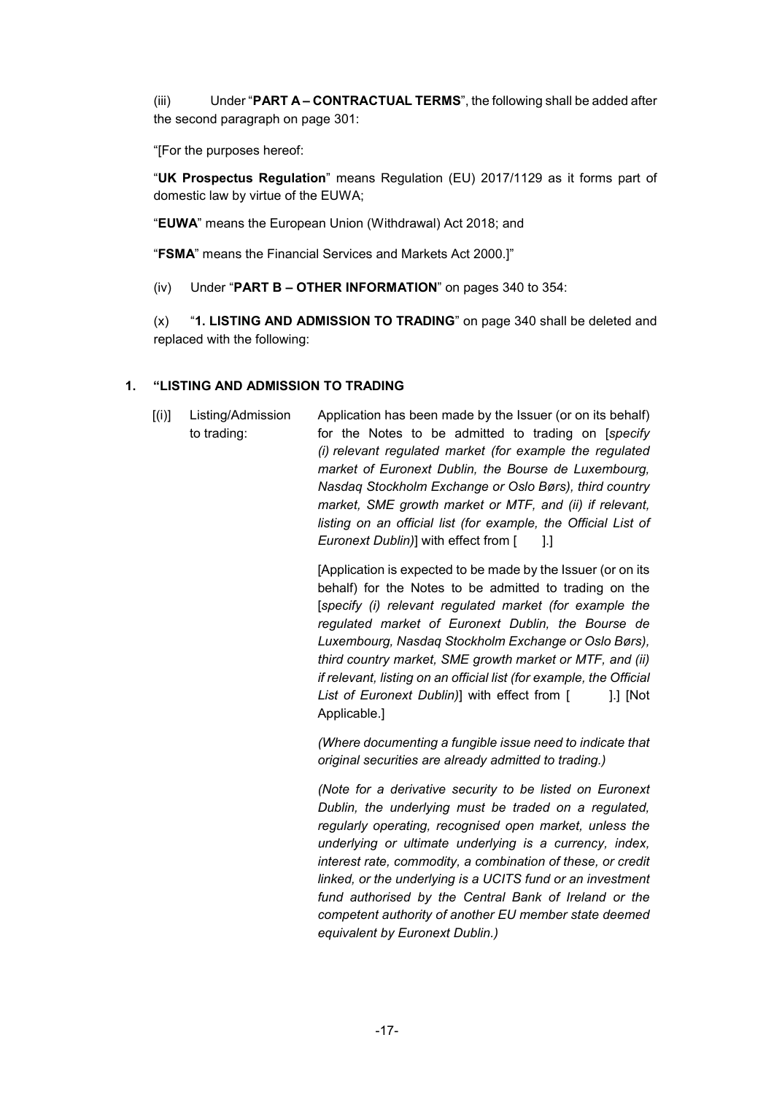(iii) Under "**PART A – CONTRACTUAL TERMS**", the following shall be added after the second paragraph on page 301:

"[For the purposes hereof:

"**UK Prospectus Regulation**" means Regulation (EU) 2017/1129 as it forms part of domestic law by virtue of the EUWA;

"**EUWA**" means the European Union (Withdrawal) Act 2018; and

"**FSMA**" means the Financial Services and Markets Act 2000.]"

(iv) Under "**PART B – OTHER INFORMATION**" on pages 340 to 354:

(x) "**1. LISTING AND ADMISSION TO TRADING**" on page 340 shall be deleted and replaced with the following:

# **1. "LISTING AND ADMISSION TO TRADING**

[(i)] Listing/Admission to trading: Application has been made by the Issuer (or on its behalf) for the Notes to be admitted to trading on [*specify (i) relevant regulated market (for example the regulated market of Euronext Dublin, the Bourse de Luxembourg, Nasdaq Stockholm Exchange or Oslo Børs), third country market, SME growth market or MTF, and (ii) if relevant, listing on an official list (for example, the Official List of Euronext Dublin*)] with effect from [ ].]

> [Application is expected to be made by the Issuer (or on its behalf) for the Notes to be admitted to trading on the [*specify (i) relevant regulated market (for example the regulated market of Euronext Dublin, the Bourse de Luxembourg, Nasdaq Stockholm Exchange or Oslo Børs), third country market, SME growth market or MTF, and (ii) if relevant, listing on an official list (for example, the Official List of Euronext Dublin*)] with effect from [ ].] [Not Applicable.]

> *(Where documenting a fungible issue need to indicate that original securities are already admitted to trading.)*

> *(Note for a derivative security to be listed on Euronext Dublin, the underlying must be traded on a regulated, regularly operating, recognised open market, unless the underlying or ultimate underlying is a currency, index, interest rate, commodity, a combination of these, or credit linked, or the underlying is a UCITS fund or an investment fund authorised by the Central Bank of Ireland or the competent authority of another EU member state deemed equivalent by Euronext Dublin.)*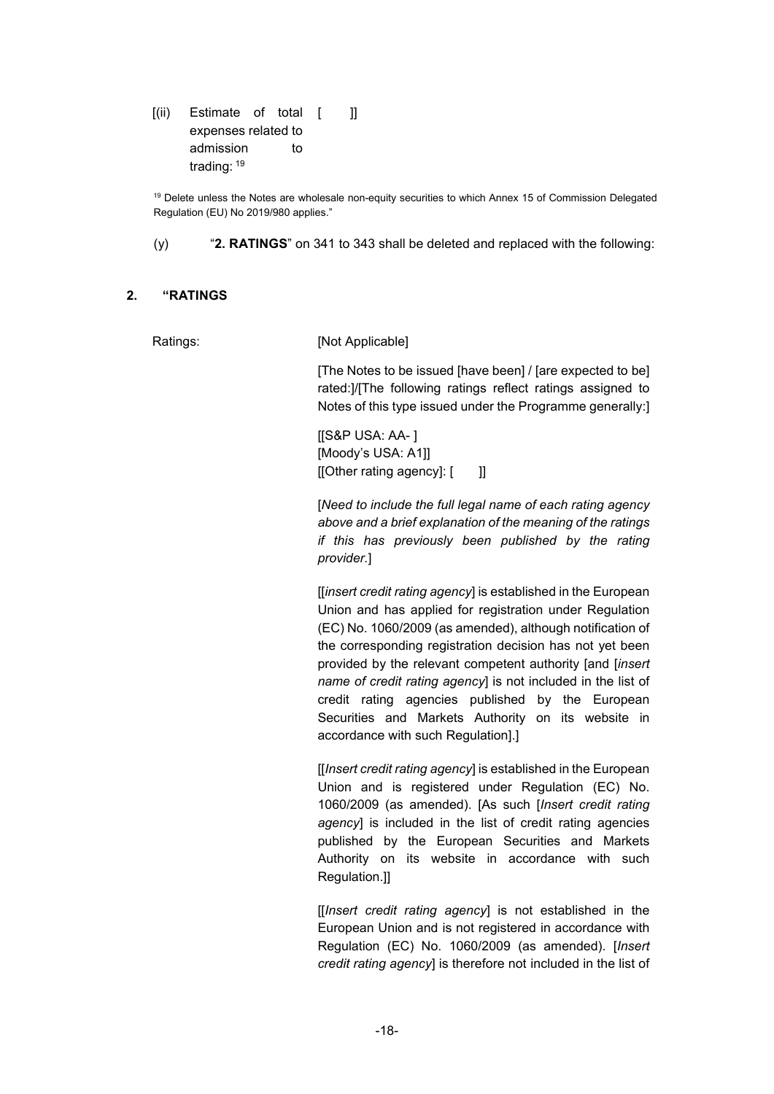[(ii) Estimate of total [ expenses related to admission to trading: <sup>19</sup>  $\overline{\phantom{a}}$ 

<sup>19</sup> Delete unless the Notes are wholesale non-equity securities to which Annex 15 of Commission Delegated Regulation (EU) No 2019/980 applies."

(y) "**2. RATINGS**" on 341 to 343 shall be deleted and replaced with the following:

#### **2. "RATINGS**

#### Ratings: [Not Applicable]

[The Notes to be issued [have been] / [are expected to be] rated:]/[The following ratings reflect ratings assigned to Notes of this type issued under the Programme generally:]

[[S&P USA: AA- ] [Moody's USA: A1]] [[Other rating agency]: [ ]]

[*Need to include the full legal name of each rating agency above and a brief explanation of the meaning of the ratings if this has previously been published by the rating provider.*]

[[*insert credit rating agency*] is established in the European Union and has applied for registration under Regulation (EC) No. 1060/2009 (as amended), although notification of the corresponding registration decision has not yet been provided by the relevant competent authority [and [*insert name of credit rating agency*] is not included in the list of credit rating agencies published by the European Securities and Markets Authority on its website in accordance with such Regulation].]

[[*Insert credit rating agency*] is established in the European Union and is registered under Regulation (EC) No. 1060/2009 (as amended). [As such [*Insert credit rating agency*] is included in the list of credit rating agencies published by the European Securities and Markets Authority on its website in accordance with such Regulation.]]

[[*Insert credit rating agency*] is not established in the European Union and is not registered in accordance with Regulation (EC) No. 1060/2009 (as amended). [*Insert credit rating agency*] is therefore not included in the list of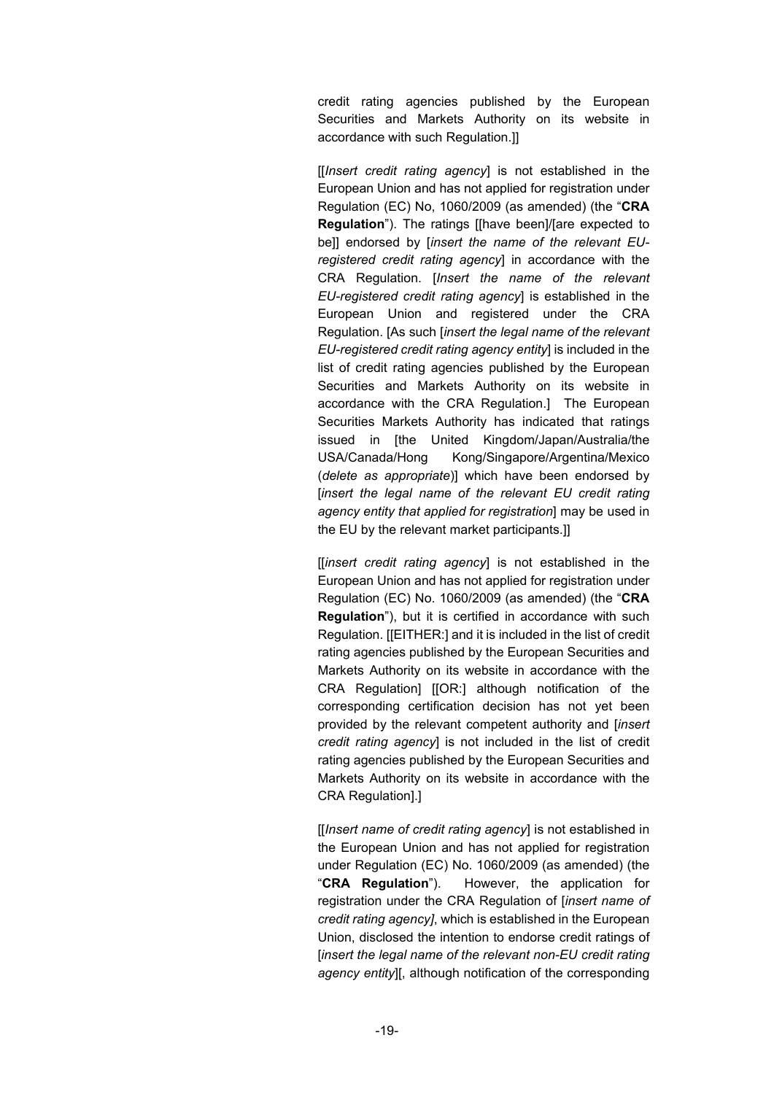credit rating agencies published by the European Securities and Markets Authority on its website in accordance with such Regulation.]]

[[*Insert credit rating agency*] is not established in the European Union and has not applied for registration under Regulation (EC) No, 1060/2009 (as amended) (the "**CRA Regulation**"). The ratings [[have been]/[are expected to be]] endorsed by [*insert the name of the relevant EUregistered credit rating agency*] in accordance with the CRA Regulation. [*Insert the name of the relevant EU-registered credit rating agency*] is established in the European Union and registered under the CRA Regulation. [As such [*insert the legal name of the relevant EU-registered credit rating agency entity*] is included in the list of credit rating agencies published by the European Securities and Markets Authority on its website in accordance with the CRA Regulation.] The European Securities Markets Authority has indicated that ratings issued in [the United Kingdom/Japan/Australia/the USA/Canada/Hong Kong/Singapore/Argentina/Mexico (*delete as appropriate*)] which have been endorsed by [*insert the legal name of the relevant EU credit rating agency entity that applied for registration*] may be used in the EU by the relevant market participants.]]

[[*insert credit rating agency*] is not established in the European Union and has not applied for registration under Regulation (EC) No. 1060/2009 (as amended) (the "**CRA Regulation**"), but it is certified in accordance with such Regulation. [[EITHER:] and it is included in the list of credit rating agencies published by the European Securities and Markets Authority on its website in accordance with the CRA Regulation] [[OR:] although notification of the corresponding certification decision has not yet been provided by the relevant competent authority and [*insert credit rating agency*] is not included in the list of credit rating agencies published by the European Securities and Markets Authority on its website in accordance with the CRA Regulation].]

[[*Insert name of credit rating agency*] is not established in the European Union and has not applied for registration under Regulation (EC) No. 1060/2009 (as amended) (the "**CRA Regulation**"). However, the application for registration under the CRA Regulation of [*insert name of credit rating agency]*, which is established in the European Union, disclosed the intention to endorse credit ratings of [*insert the legal name of the relevant non-EU credit rating agency entity*][, although notification of the corresponding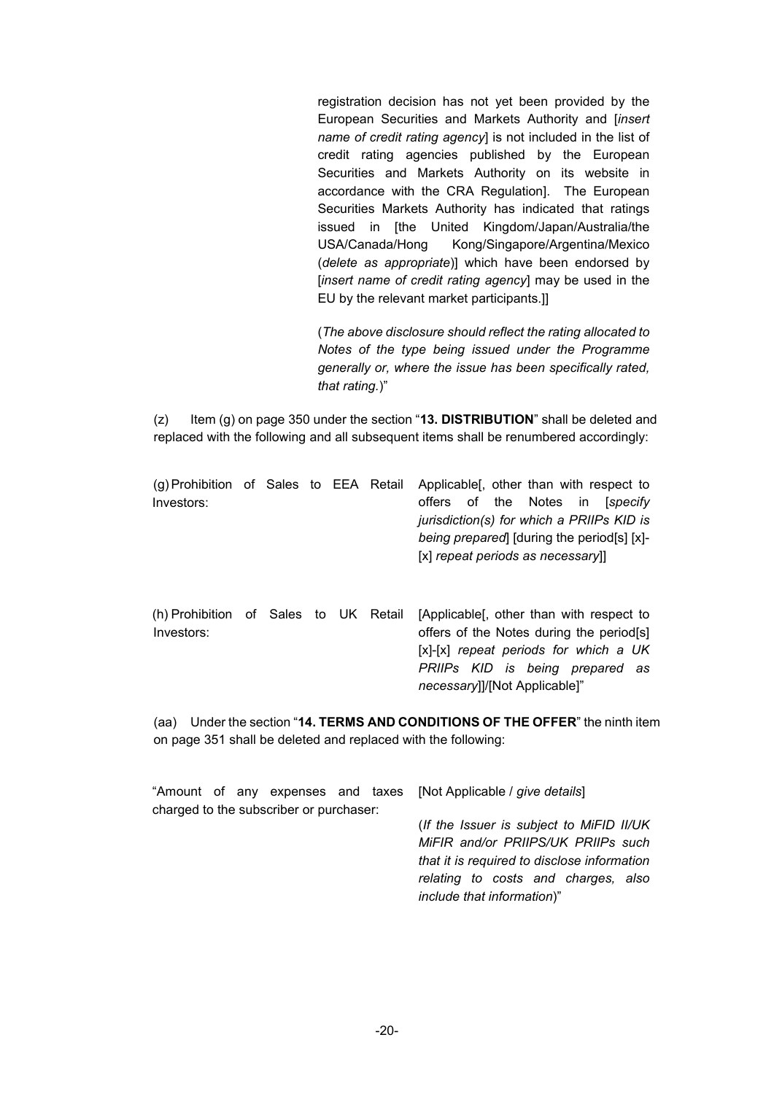registration decision has not yet been provided by the European Securities and Markets Authority and [*insert name of credit rating agency*] is not included in the list of credit rating agencies published by the European Securities and Markets Authority on its website in accordance with the CRA Regulation]. The European Securities Markets Authority has indicated that ratings issued in [the United Kingdom/Japan/Australia/the USA/Canada/Hong Kong/Singapore/Argentina/Mexico (*delete as appropriate*)] which have been endorsed by [*insert name of credit rating agency*] may be used in the EU by the relevant market participants.]]

(*The above disclosure should reflect the rating allocated to Notes of the type being issued under the Programme generally or, where the issue has been specifically rated, that rating.*)"

(z) Item (g) on page 350 under the section "**13. DISTRIBUTION**" shall be deleted and replaced with the following and all subsequent items shall be renumbered accordingly:

| (g) Prohibition of Sales to EEA Retail Applicable, other than with respect to |  |  |  |  |                                  |                                           |
|-------------------------------------------------------------------------------|--|--|--|--|----------------------------------|-------------------------------------------|
| Investors:                                                                    |  |  |  |  |                                  | offers of the Notes in <i>[specify</i>    |
|                                                                               |  |  |  |  |                                  | jurisdiction(s) for which a PRIIPs KID is |
|                                                                               |  |  |  |  |                                  | being prepared [during the period[s] [x]- |
|                                                                               |  |  |  |  | [x] repeat periods as necessary] |                                           |
|                                                                               |  |  |  |  |                                  |                                           |

|            |  |  | (h) Prohibition of Sales to UK Retail [Applicable], other than with respect to |
|------------|--|--|--------------------------------------------------------------------------------|
| Investors: |  |  | offers of the Notes during the period [s]                                      |
|            |  |  | $[x]-[x]$ repeat periods for which a UK                                        |
|            |  |  | PRIIPs KID is being prepared as                                                |
|            |  |  | <i>necessary</i> ]]/[Not Applicable]"                                          |

(aa) Under the section "**14. TERMS AND CONDITIONS OF THE OFFER**" the ninth item on page 351 shall be deleted and replaced with the following:

|  |                                         |  | "Amount of any expenses and taxes [Not Applicable <i>  give details</i> ] |
|--|-----------------------------------------|--|---------------------------------------------------------------------------|
|  | charged to the subscriber or purchaser: |  |                                                                           |
|  |                                         |  | (If the Issuer is subject to MiFID II/UK)                                 |
|  |                                         |  | MiFIR and/or PRIIPS/UK PRIIPs such                                        |
|  |                                         |  | that it is required to disclose information                               |
|  |                                         |  | relating to costs and charges, also                                       |
|  |                                         |  | include that information)"                                                |
|  |                                         |  |                                                                           |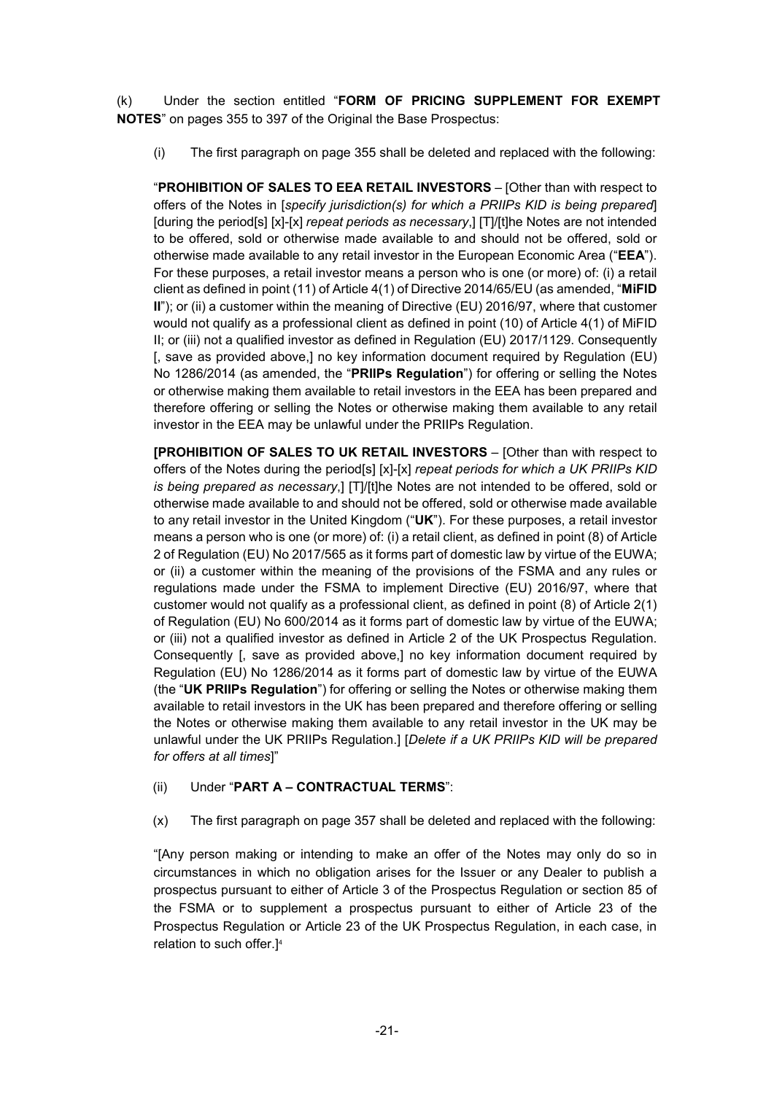(k) Under the section entitled "**FORM OF PRICING SUPPLEMENT FOR EXEMPT NOTES**" on pages 355 to 397 of the Original the Base Prospectus:

(i) The first paragraph on page 355 shall be deleted and replaced with the following:

"**PROHIBITION OF SALES TO EEA RETAIL INVESTORS** – [Other than with respect to offers of the Notes in [*specify jurisdiction(s) for which a PRIIPs KID is being prepared*] [during the period[s] [x]-[x] *repeat periods as necessary*,] [T]/[t]he Notes are not intended to be offered, sold or otherwise made available to and should not be offered, sold or otherwise made available to any retail investor in the European Economic Area ("**EEA**"). For these purposes, a retail investor means a person who is one (or more) of: (i) a retail client as defined in point (11) of Article 4(1) of Directive 2014/65/EU (as amended, "**MiFID II**"); or (ii) a customer within the meaning of Directive (EU) 2016/97, where that customer would not qualify as a professional client as defined in point (10) of Article 4(1) of MiFID II; or (iii) not a qualified investor as defined in Regulation (EU) 2017/1129. Consequently [, save as provided above,] no key information document required by Regulation (EU) No 1286/2014 (as amended, the "**PRIIPs Regulation**") for offering or selling the Notes or otherwise making them available to retail investors in the EEA has been prepared and therefore offering or selling the Notes or otherwise making them available to any retail investor in the EEA may be unlawful under the PRIIPs Regulation.

**[PROHIBITION OF SALES TO UK RETAIL INVESTORS** – [Other than with respect to offers of the Notes during the period[s] [x]-[x] *repeat periods for which a UK PRIIPs KID is being prepared as necessary*,] [T]/[t]he Notes are not intended to be offered, sold or otherwise made available to and should not be offered, sold or otherwise made available to any retail investor in the United Kingdom ("**UK**"). For these purposes, a retail investor means a person who is one (or more) of: (i) a retail client, as defined in point (8) of Article 2 of Regulation (EU) No 2017/565 as it forms part of domestic law by virtue of the EUWA; or (ii) a customer within the meaning of the provisions of the FSMA and any rules or regulations made under the FSMA to implement Directive (EU) 2016/97, where that customer would not qualify as a professional client, as defined in point (8) of Article 2(1) of Regulation (EU) No 600/2014 as it forms part of domestic law by virtue of the EUWA; or (iii) not a qualified investor as defined in Article 2 of the UK Prospectus Regulation. Consequently [, save as provided above,] no key information document required by Regulation (EU) No 1286/2014 as it forms part of domestic law by virtue of the EUWA (the "**UK PRIIPs Regulation**") for offering or selling the Notes or otherwise making them available to retail investors in the UK has been prepared and therefore offering or selling the Notes or otherwise making them available to any retail investor in the UK may be unlawful under the UK PRIIPs Regulation.] [*Delete if a UK PRIIPs KID will be prepared for offers at all times*]"

### (ii) Under "**PART A – CONTRACTUAL TERMS**":

(x) The first paragraph on page 357 shall be deleted and replaced with the following:

"[Any person making or intending to make an offer of the Notes may only do so in circumstances in which no obligation arises for the Issuer or any Dealer to publish a prospectus pursuant to either of Article 3 of the Prospectus Regulation or section 85 of the FSMA or to supplement a prospectus pursuant to either of Article 23 of the Prospectus Regulation or Article 23 of the UK Prospectus Regulation, in each case, in relation to such offer.]4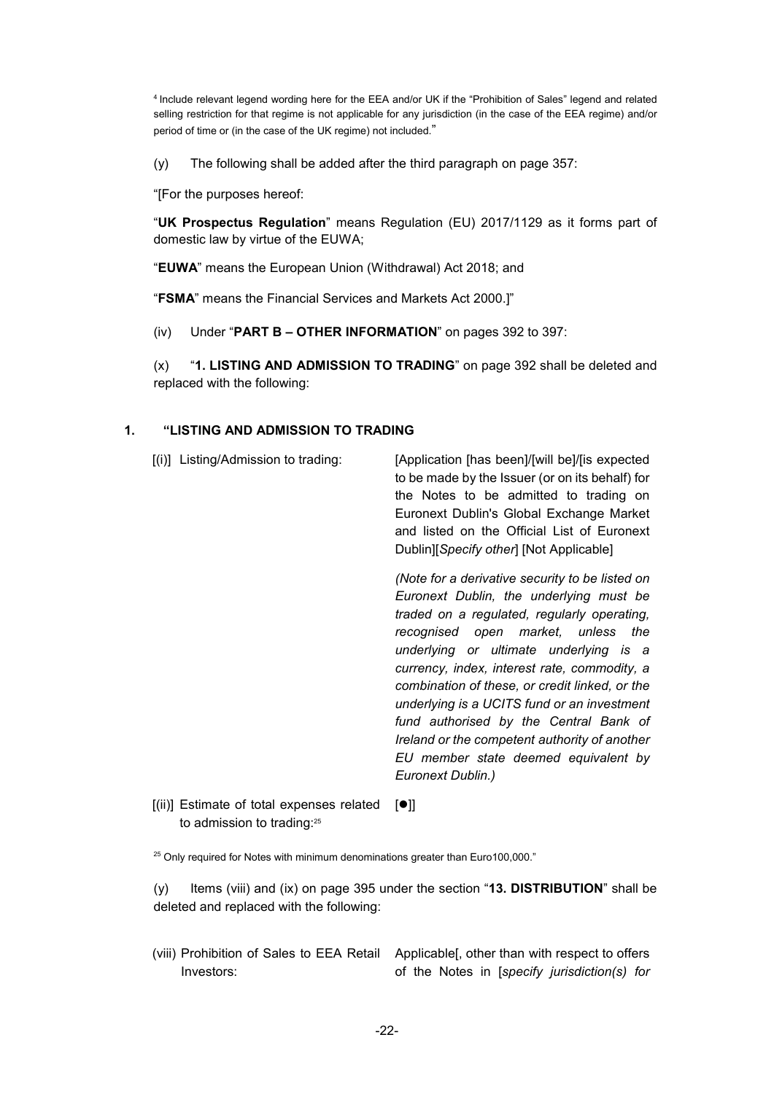<sup>4</sup>Include relevant legend wording here for the EEA and/or UK if the "Prohibition of Sales" legend and related selling restriction for that regime is not applicable for any jurisdiction (in the case of the EEA regime) and/or period of time or (in the case of the UK regime) not included."

(y) The following shall be added after the third paragraph on page 357:

"[For the purposes hereof:

"**UK Prospectus Regulation**" means Regulation (EU) 2017/1129 as it forms part of domestic law by virtue of the EUWA;

"**EUWA**" means the European Union (Withdrawal) Act 2018; and

"**FSMA**" means the Financial Services and Markets Act 2000.]"

(iv) Under "**PART B – OTHER INFORMATION**" on pages 392 to 397:

(x) "**1. LISTING AND ADMISSION TO TRADING**" on page 392 shall be deleted and replaced with the following:

# **1. "LISTING AND ADMISSION TO TRADING**

[(i)] Listing/Admission to trading: [Application [has been]/[will be]/[is expected to be made by the Issuer (or on its behalf) for the Notes to be admitted to trading on Euronext Dublin's Global Exchange Market and listed on the Official List of Euronext Dublin][*Specify other*] [Not Applicable] *(Note for a derivative security to be listed on Euronext Dublin, the underlying must be traded on a regulated, regularly operating,* 

*recognised open market, unless the underlying or ultimate underlying is a currency, index, interest rate, commodity, a combination of these, or credit linked, or the underlying is a UCITS fund or an investment fund authorised by the Central Bank of Ireland or the competent authority of another EU member state deemed equivalent by Euronext Dublin.)*

[(ii)] Estimate of total expenses related to admission to trading:<sup>25</sup>  $[•]$ 

<sup>25</sup> Only required for Notes with minimum denominations greater than Euro100,000."

(y) Items (viii) and (ix) on page 395 under the section "**13. DISTRIBUTION**" shall be deleted and replaced with the following:

(viii) Prohibition of Sales to EEA Retail Applicable[, other than with respect to offers Investors: of the Notes in [*specify jurisdiction(s) for*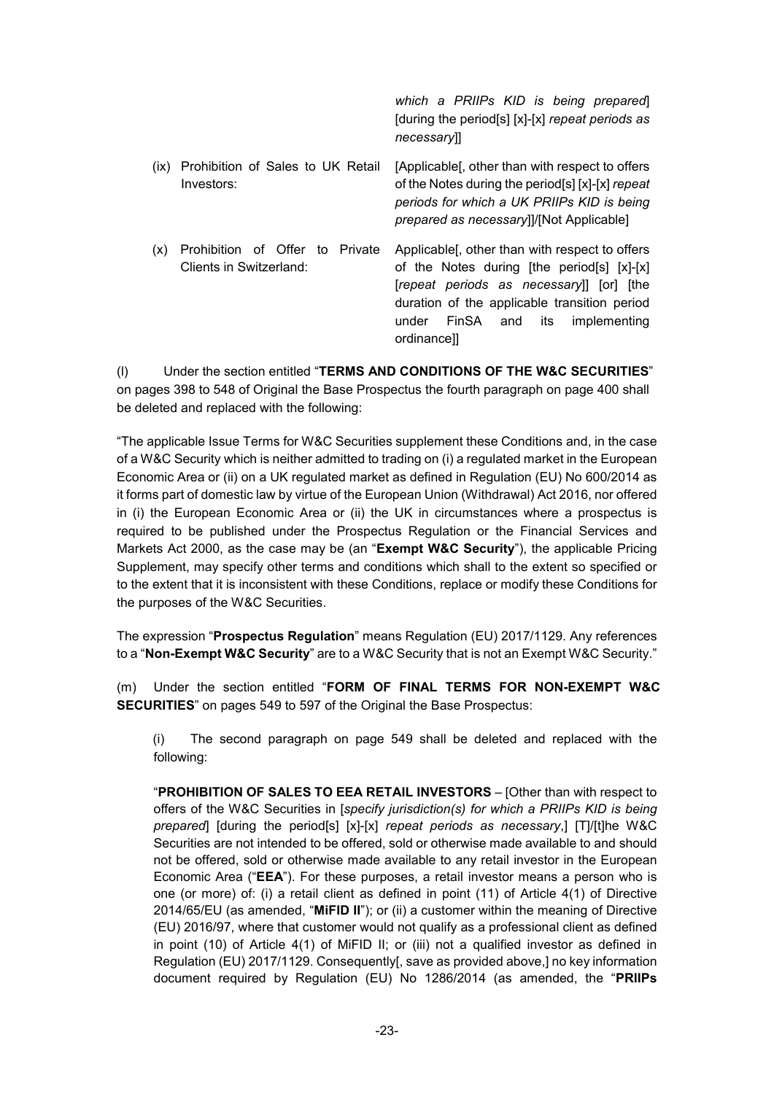|                                                                   | which a PRIIPs KID is being prepared<br>[during the period[s] [x]-[x] repeat periods as<br>necessary                                                                                                                                                    |
|-------------------------------------------------------------------|---------------------------------------------------------------------------------------------------------------------------------------------------------------------------------------------------------------------------------------------------------|
| Prohibition of Sales to UK Retail<br>(ix)<br>Investors:           | [Applicable], other than with respect to offers<br>of the Notes during the period[s] [x]-[x] repeat<br>periods for which a UK PRIIPs KID is being<br><i>prepared as necessary</i> ]]/[Not Applicable]                                                   |
| Prohibition of Offer to Private<br>(x)<br>Clients in Switzerland: | Applicable [, other than with respect to offers<br>of the Notes during [the period[s] [x]-[x]<br>[repeat periods as necessary] [or] [the<br>duration of the applicable transition period<br>FinSA<br>its<br>under<br>and<br>implementing<br>ordinance]] |

(l) Under the section entitled "**TERMS AND CONDITIONS OF THE W&C SECURITIES**" on pages 398 to 548 of Original the Base Prospectus the fourth paragraph on page 400 shall be deleted and replaced with the following:

"The applicable Issue Terms for W&C Securities supplement these Conditions and, in the case of a W&C Security which is neither admitted to trading on (i) a regulated market in the European Economic Area or (ii) on a UK regulated market as defined in Regulation (EU) No 600/2014 as it forms part of domestic law by virtue of the European Union (Withdrawal) Act 2016, nor offered in (i) the European Economic Area or (ii) the UK in circumstances where a prospectus is required to be published under the Prospectus Regulation or the Financial Services and Markets Act 2000, as the case may be (an "**Exempt W&C Security**"), the applicable Pricing Supplement, may specify other terms and conditions which shall to the extent so specified or to the extent that it is inconsistent with these Conditions, replace or modify these Conditions for the purposes of the W&C Securities.

The expression "**Prospectus Regulation**" means Regulation (EU) 2017/1129. Any references to a "**Non-Exempt W&C Security**" are to a W&C Security that is not an Exempt W&C Security."

(m) Under the section entitled "**FORM OF FINAL TERMS FOR NON-EXEMPT W&C SECURITIES**" on pages 549 to 597 of the Original the Base Prospectus:

(i) The second paragraph on page 549 shall be deleted and replaced with the following:

"**PROHIBITION OF SALES TO EEA RETAIL INVESTORS** – [Other than with respect to offers of the W&C Securities in [*specify jurisdiction(s) for which a PRIIPs KID is being prepared*] [during the period[s] [x]-[x] *repeat periods as necessary*,] [T]/[t]he W&C Securities are not intended to be offered, sold or otherwise made available to and should not be offered, sold or otherwise made available to any retail investor in the European Economic Area ("**EEA**"). For these purposes, a retail investor means a person who is one (or more) of: (i) a retail client as defined in point (11) of Article 4(1) of Directive 2014/65/EU (as amended, "**MiFID II**"); or (ii) a customer within the meaning of Directive (EU) 2016/97, where that customer would not qualify as a professional client as defined in point (10) of Article 4(1) of MiFID II; or (iii) not a qualified investor as defined in Regulation (EU) 2017/1129. Consequently[, save as provided above,] no key information document required by Regulation (EU) No 1286/2014 (as amended, the "**PRIIPs**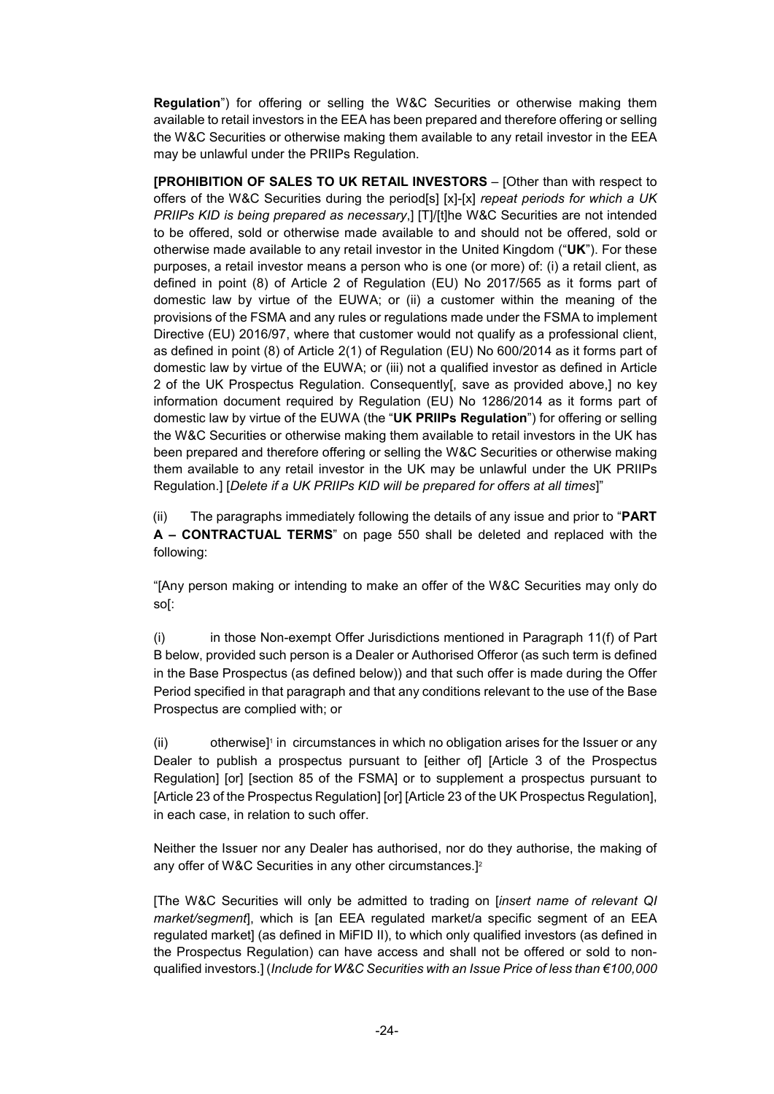**Regulation**") for offering or selling the W&C Securities or otherwise making them available to retail investors in the EEA has been prepared and therefore offering or selling the W&C Securities or otherwise making them available to any retail investor in the EEA may be unlawful under the PRIIPs Regulation.

**[PROHIBITION OF SALES TO UK RETAIL INVESTORS** – [Other than with respect to offers of the W&C Securities during the period[s] [x]-[x] *repeat periods for which a UK PRIIPs KID is being prepared as necessary*,] [T]/[t]he W&C Securities are not intended to be offered, sold or otherwise made available to and should not be offered, sold or otherwise made available to any retail investor in the United Kingdom ("**UK**"). For these purposes, a retail investor means a person who is one (or more) of: (i) a retail client, as defined in point (8) of Article 2 of Regulation (EU) No 2017/565 as it forms part of domestic law by virtue of the EUWA; or (ii) a customer within the meaning of the provisions of the FSMA and any rules or regulations made under the FSMA to implement Directive (EU) 2016/97, where that customer would not qualify as a professional client, as defined in point (8) of Article 2(1) of Regulation (EU) No 600/2014 as it forms part of domestic law by virtue of the EUWA; or (iii) not a qualified investor as defined in Article 2 of the UK Prospectus Regulation. Consequently[, save as provided above,] no key information document required by Regulation (EU) No 1286/2014 as it forms part of domestic law by virtue of the EUWA (the "**UK PRIIPs Regulation**") for offering or selling the W&C Securities or otherwise making them available to retail investors in the UK has been prepared and therefore offering or selling the W&C Securities or otherwise making them available to any retail investor in the UK may be unlawful under the UK PRIIPs Regulation.] [*Delete if a UK PRIIPs KID will be prepared for offers at all times*]"

(ii) The paragraphs immediately following the details of any issue and prior to "**PART A – CONTRACTUAL TERMS**" on page 550 shall be deleted and replaced with the following:

"[Any person making or intending to make an offer of the W&C Securities may only do so[:

(i) in those Non-exempt Offer Jurisdictions mentioned in Paragraph 11(f) of Part B below, provided such person is a Dealer or Authorised Offeror (as such term is defined in the Base Prospectus (as defined below)) and that such offer is made during the Offer Period specified in that paragraph and that any conditions relevant to the use of the Base Prospectus are complied with; or

(ii) otherwise]<sup>1</sup> in circumstances in which no obligation arises for the Issuer or any Dealer to publish a prospectus pursuant to [either of] [Article 3 of the Prospectus Regulation] [or] [section 85 of the FSMA] or to supplement a prospectus pursuant to [Article 23 of the Prospectus Regulation] [or] [Article 23 of the UK Prospectus Regulation], in each case, in relation to such offer.

Neither the Issuer nor any Dealer has authorised, nor do they authorise, the making of any offer of W&C Securities in any other circumstances.]<sup>2</sup>

[The W&C Securities will only be admitted to trading on [*insert name of relevant QI market/segment*], which is [an EEA regulated market/a specific segment of an EEA regulated market] (as defined in MiFID II), to which only qualified investors (as defined in the Prospectus Regulation) can have access and shall not be offered or sold to nonqualified investors.] (*Include for W&C Securities with an Issue Price of less than €100,000*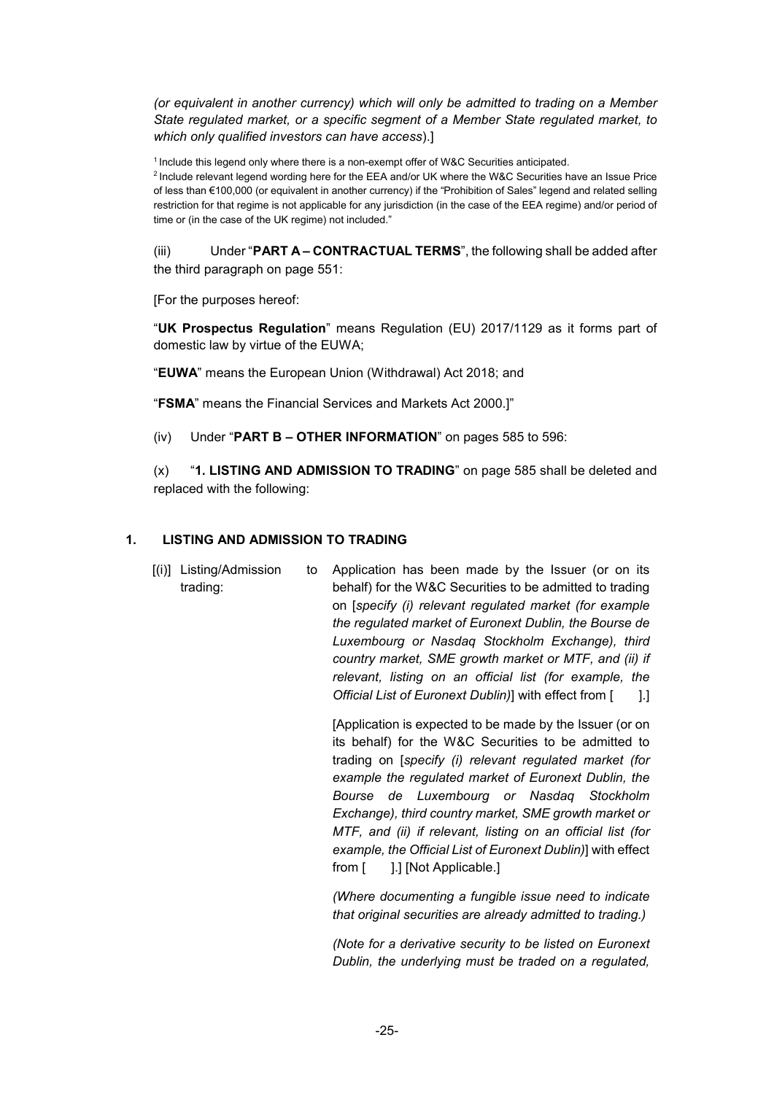*(or equivalent in another currency) which will only be admitted to trading on a Member State regulated market, or a specific segment of a Member State regulated market, to which only qualified investors can have access*).]

<sup>1</sup> Include this legend only where there is a non-exempt offer of W&C Securities anticipated.

<sup>2</sup> Include relevant legend wording here for the EEA and/or UK where the W&C Securities have an Issue Price of less than €100,000 (or equivalent in another currency) if the "Prohibition of Sales" legend and related selling restriction for that regime is not applicable for any jurisdiction (in the case of the EEA regime) and/or period of time or (in the case of the UK regime) not included."

(iii) Under "**PART A – CONTRACTUAL TERMS**", the following shall be added after the third paragraph on page 551:

[For the purposes hereof:

"**UK Prospectus Regulation**" means Regulation (EU) 2017/1129 as it forms part of domestic law by virtue of the EUWA;

"**EUWA**" means the European Union (Withdrawal) Act 2018; and

"**FSMA**" means the Financial Services and Markets Act 2000.]"

(iv) Under "**PART B – OTHER INFORMATION**" on pages 585 to 596:

(x) "**1. LISTING AND ADMISSION TO TRADING**" on page 585 shall be deleted and replaced with the following:

# **1. LISTING AND ADMISSION TO TRADING**

[(i)] Listing/Admission trading: Application has been made by the Issuer (or on its behalf) for the W&C Securities to be admitted to trading on [*specify (i) relevant regulated market (for example the regulated market of Euronext Dublin, the Bourse de Luxembourg or Nasdaq Stockholm Exchange), third country market, SME growth market or MTF, and (ii) if relevant, listing on an official list (for example, the Official List of Euronext Dublin*)] with effect from [1.]

> [Application is expected to be made by the Issuer (or on its behalf) for the W&C Securities to be admitted to trading on [*specify (i) relevant regulated market (for example the regulated market of Euronext Dublin, the Bourse de Luxembourg or Nasdaq Stockholm Exchange), third country market, SME growth market or MTF, and (ii) if relevant, listing on an official list (for example, the Official List of Euronext Dublin)*] with effect from [ ].] [Not Applicable.]

> *(Where documenting a fungible issue need to indicate that original securities are already admitted to trading.)*

> *(Note for a derivative security to be listed on Euronext Dublin, the underlying must be traded on a regulated,*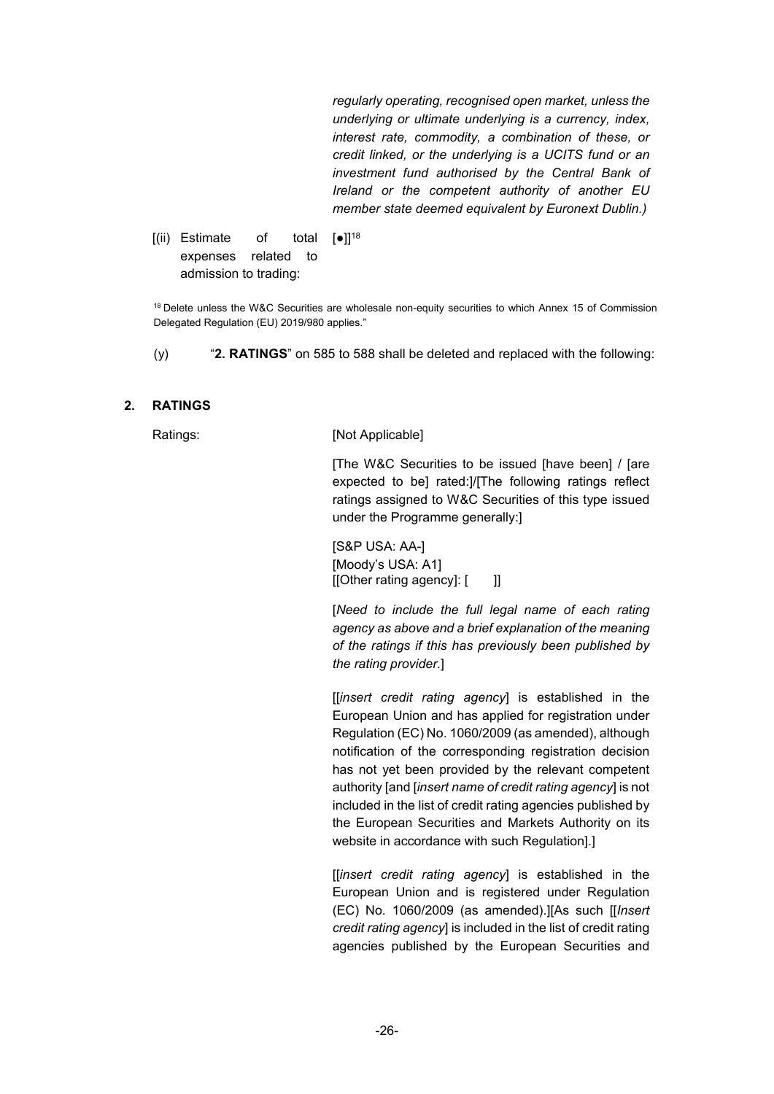*regularly operating, recognised open market, unless the underlying or ultimate underlying is a currency, index, interest rate, commodity, a combination of these, or credit linked, or the underlying is a UCITS fund or an investment fund authorised by the Central Bank of Ireland or the competent authority of another EU member state deemed equivalent by Euronext Dublin.)*

[(ii) Estimate of total expenses related to admission to trading:  $[•]$ <sup>18</sup>

<sup>18</sup> Delete unless the W&C Securities are wholesale non-equity securities to which Annex 15 of Commission Delegated Regulation (EU) 2019/980 applies."

(y) "**2. RATINGS**" on 585 to 588 shall be deleted and replaced with the following:

### **2. RATINGS**

Ratings: [Not Applicable]

[The W&C Securities to be issued [have been] / [are expected to be] rated:]/[The following ratings reflect ratings assigned to W&C Securities of this type issued under the Programme generally:]

[S&P USA: AA-] [Moody's USA: A1] [[Other rating agency]: [ ]]

[*Need to include the full legal name of each rating agency as above and a brief explanation of the meaning of the ratings if this has previously been published by the rating provider.*]

[[*insert credit rating agency*] is established in the European Union and has applied for registration under Regulation (EC) No. 1060/2009 (as amended), although notification of the corresponding registration decision has not yet been provided by the relevant competent authority [and [*insert name of credit rating agency*] is not included in the list of credit rating agencies published by the European Securities and Markets Authority on its website in accordance with such Regulation].]

[[*insert credit rating agency*] is established in the European Union and is registered under Regulation (EC) No. 1060/2009 (as amended).][As such [[*Insert credit rating agency*] is included in the list of credit rating agencies published by the European Securities and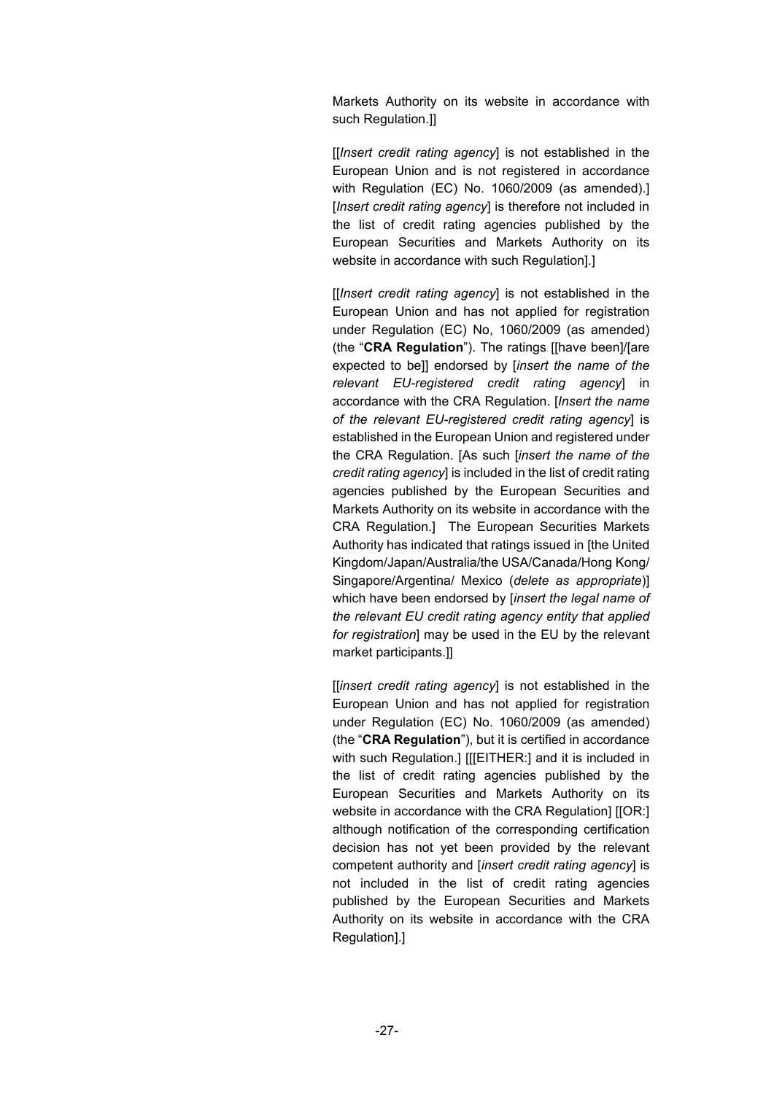Markets Authority on its website in accordance with such Regulation.]]

[[*Insert credit rating agency*] is not established in the European Union and is not registered in accordance with Regulation (EC) No. 1060/2009 (as amended).] [Insert credit rating agency] is therefore not included in the list of credit rating agencies published by the European Securities and Markets Authority on its website in accordance with such Regulation].]

[[*Insert credit rating agency*] is not established in the European Union and has not applied for registration under Regulation (EC) No, 1060/2009 (as amended) (the "**CRA Regulation**"). The ratings [[have been]/[are expected to be]] endorsed by [*insert the name of the relevant EU-registered credit rating agency*] in accordance with the CRA Regulation. [*Insert the name of the relevant EU-registered credit rating agency*] is established in the European Union and registered under the CRA Regulation. [As such [*insert the name of the credit rating agency*] is included in the list of credit rating agencies published by the European Securities and Markets Authority on its website in accordance with the CRA Regulation.] The European Securities Markets Authority has indicated that ratings issued in [the United Kingdom/Japan/Australia/the USA/Canada/Hong Kong/ Singapore/Argentina/ Mexico (*delete as appropriate*)] which have been endorsed by [*insert the legal name of the relevant EU credit rating agency entity that applied for registration*] may be used in the EU by the relevant market participants.]]

[[*insert credit rating agency*] is not established in the European Union and has not applied for registration under Regulation (EC) No. 1060/2009 (as amended) (the "**CRA Regulation**"), but it is certified in accordance with such Regulation.] [[[EITHER:] and it is included in the list of credit rating agencies published by the European Securities and Markets Authority on its website in accordance with the CRA Regulation] [[OR:] although notification of the corresponding certification decision has not yet been provided by the relevant competent authority and [*insert credit rating agency*] is not included in the list of credit rating agencies published by the European Securities and Markets Authority on its website in accordance with the CRA Regulation].]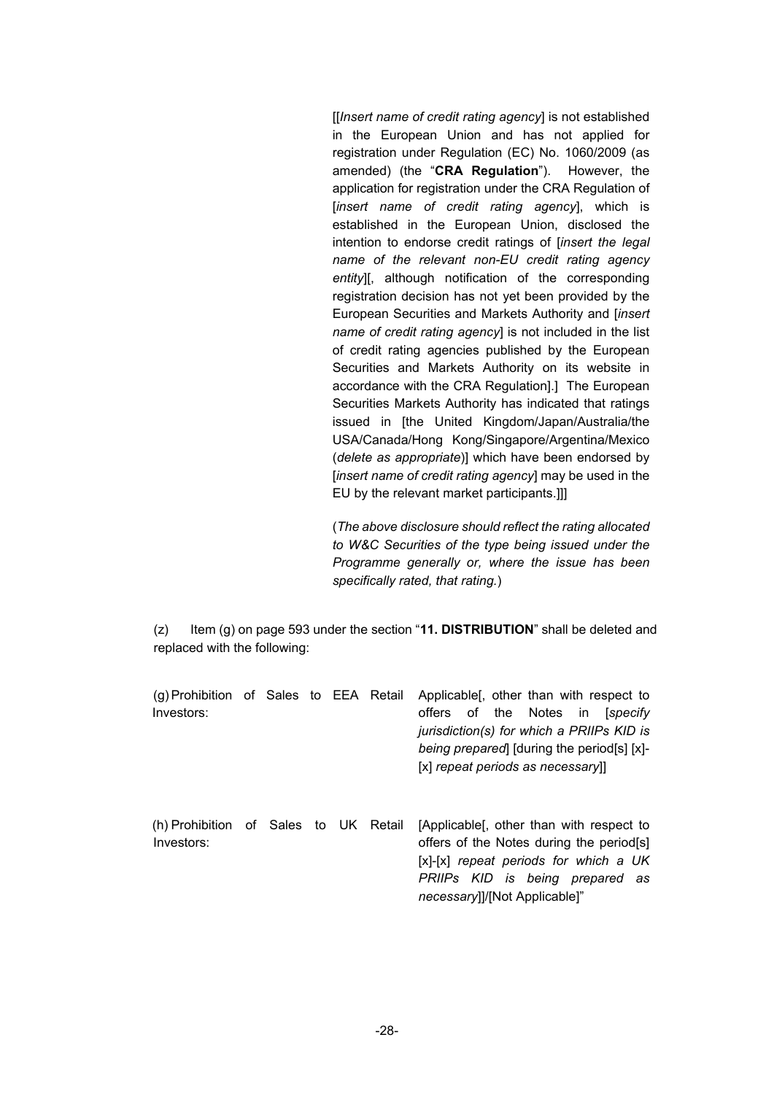[[*Insert name of credit rating agency*] is not established in the European Union and has not applied for registration under Regulation (EC) No. 1060/2009 (as amended) (the "**CRA Regulation**"). However, the application for registration under the CRA Regulation of [*insert name of credit rating agency*], which is established in the European Union, disclosed the intention to endorse credit ratings of [*insert the legal name of the relevant non-EU credit rating agency entity*][, although notification of the corresponding registration decision has not yet been provided by the European Securities and Markets Authority and [*insert name of credit rating agency*] is not included in the list of credit rating agencies published by the European Securities and Markets Authority on its website in accordance with the CRA Regulation].] The European Securities Markets Authority has indicated that ratings issued in [the United Kingdom/Japan/Australia/the USA/Canada/Hong Kong/Singapore/Argentina/Mexico (*delete as appropriate*)] which have been endorsed by [*insert name of credit rating agency*] may be used in the EU by the relevant market participants.]]]

(*The above disclosure should reflect the rating allocated to W&C Securities of the type being issued under the Programme generally or, where the issue has been specifically rated, that rating.*)

(z) Item (g) on page 593 under the section "**11. DISTRIBUTION**" shall be deleted and replaced with the following:

| (g) Prohibition of Sales to EEA Retail<br>Investors: |  |  | Applicable [, other than with respect to<br>of the Notes in<br>offers<br><i><b>Specify</b></i><br>jurisdiction(s) for which a PRIIPs KID is<br>being prepared [during the period[s] [x]-<br>[x] repeat periods as necessary]] |
|------------------------------------------------------|--|--|-------------------------------------------------------------------------------------------------------------------------------------------------------------------------------------------------------------------------------|
| (h) Prohibition of Sales to UK Retail<br>Investors:  |  |  | [Applicable], other than with respect to<br>offers of the Notes during the period[s]<br>[x]-[x] repeat periods for which a UK<br>PRIIPs KID is being prepared as<br>necessary]]/[Not Applicable]"                             |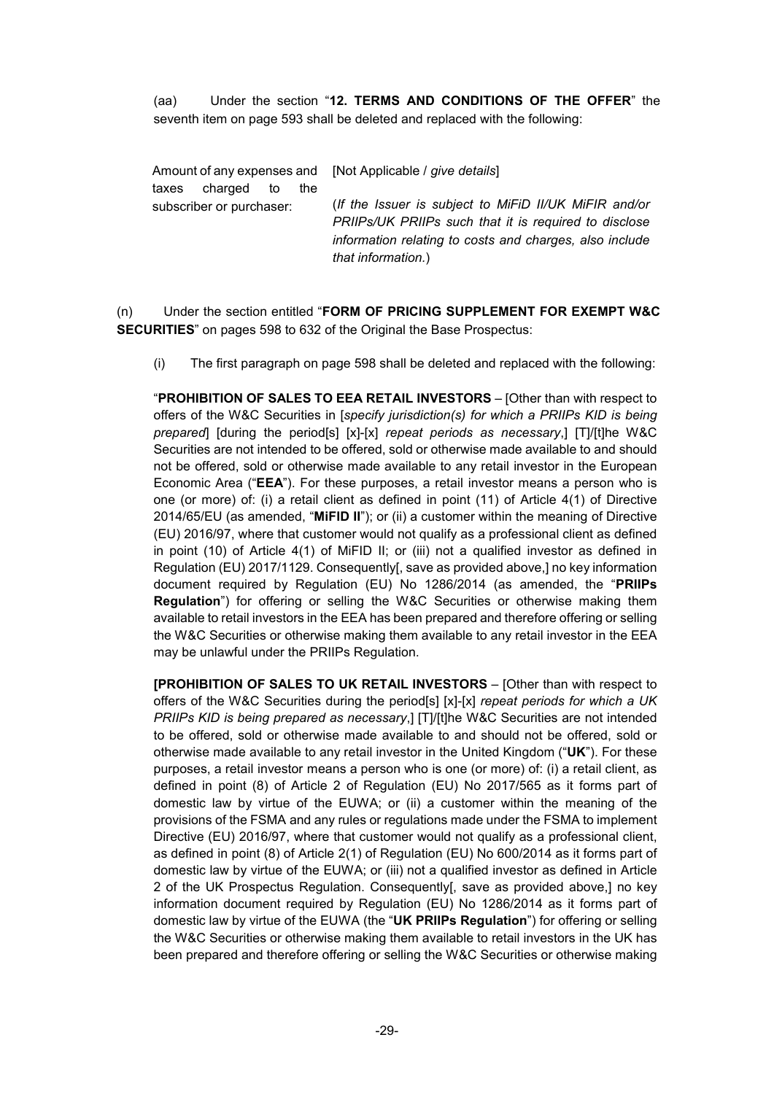(aa) Under the section "**12. TERMS AND CONDITIONS OF THE OFFER**" the seventh item on page 593 shall be deleted and replaced with the following:

| Amount of any expenses and | [Not Applicable / give details]                         |
|----------------------------|---------------------------------------------------------|
| charged to                 | (If the Issuer is subject to MiFiD II/UK MiFIR and/or   |
| taxes                      | PRIIPs/UK PRIIPs such that it is required to disclose   |
| the                        | information relating to costs and charges, also include |
| subscriber or purchaser:   | that information.)                                      |

(n) Under the section entitled "**FORM OF PRICING SUPPLEMENT FOR EXEMPT W&C SECURITIES**" on pages 598 to 632 of the Original the Base Prospectus:

(i) The first paragraph on page 598 shall be deleted and replaced with the following:

"**PROHIBITION OF SALES TO EEA RETAIL INVESTORS** – [Other than with respect to offers of the W&C Securities in [*specify jurisdiction(s) for which a PRIIPs KID is being prepared*] [during the period[s] [x]-[x] *repeat periods as necessary*,] [T]/[t]he W&C Securities are not intended to be offered, sold or otherwise made available to and should not be offered, sold or otherwise made available to any retail investor in the European Economic Area ("**EEA**"). For these purposes, a retail investor means a person who is one (or more) of: (i) a retail client as defined in point (11) of Article 4(1) of Directive 2014/65/EU (as amended, "**MiFID II**"); or (ii) a customer within the meaning of Directive (EU) 2016/97, where that customer would not qualify as a professional client as defined in point (10) of Article 4(1) of MiFID II; or (iii) not a qualified investor as defined in Regulation (EU) 2017/1129. Consequently[, save as provided above,] no key information document required by Regulation (EU) No 1286/2014 (as amended, the "**PRIIPs Regulation**") for offering or selling the W&C Securities or otherwise making them available to retail investors in the EEA has been prepared and therefore offering or selling the W&C Securities or otherwise making them available to any retail investor in the EEA may be unlawful under the PRIIPs Regulation.

**[PROHIBITION OF SALES TO UK RETAIL INVESTORS** – [Other than with respect to offers of the W&C Securities during the period[s] [x]-[x] *repeat periods for which a UK PRIIPs KID is being prepared as necessary*,] [T]/[t]he W&C Securities are not intended to be offered, sold or otherwise made available to and should not be offered, sold or otherwise made available to any retail investor in the United Kingdom ("**UK**"). For these purposes, a retail investor means a person who is one (or more) of: (i) a retail client, as defined in point (8) of Article 2 of Regulation (EU) No 2017/565 as it forms part of domestic law by virtue of the EUWA; or (ii) a customer within the meaning of the provisions of the FSMA and any rules or regulations made under the FSMA to implement Directive (EU) 2016/97, where that customer would not qualify as a professional client, as defined in point (8) of Article 2(1) of Regulation (EU) No 600/2014 as it forms part of domestic law by virtue of the EUWA; or (iii) not a qualified investor as defined in Article 2 of the UK Prospectus Regulation. Consequently[, save as provided above,] no key information document required by Regulation (EU) No 1286/2014 as it forms part of domestic law by virtue of the EUWA (the "**UK PRIIPs Regulation**") for offering or selling the W&C Securities or otherwise making them available to retail investors in the UK has been prepared and therefore offering or selling the W&C Securities or otherwise making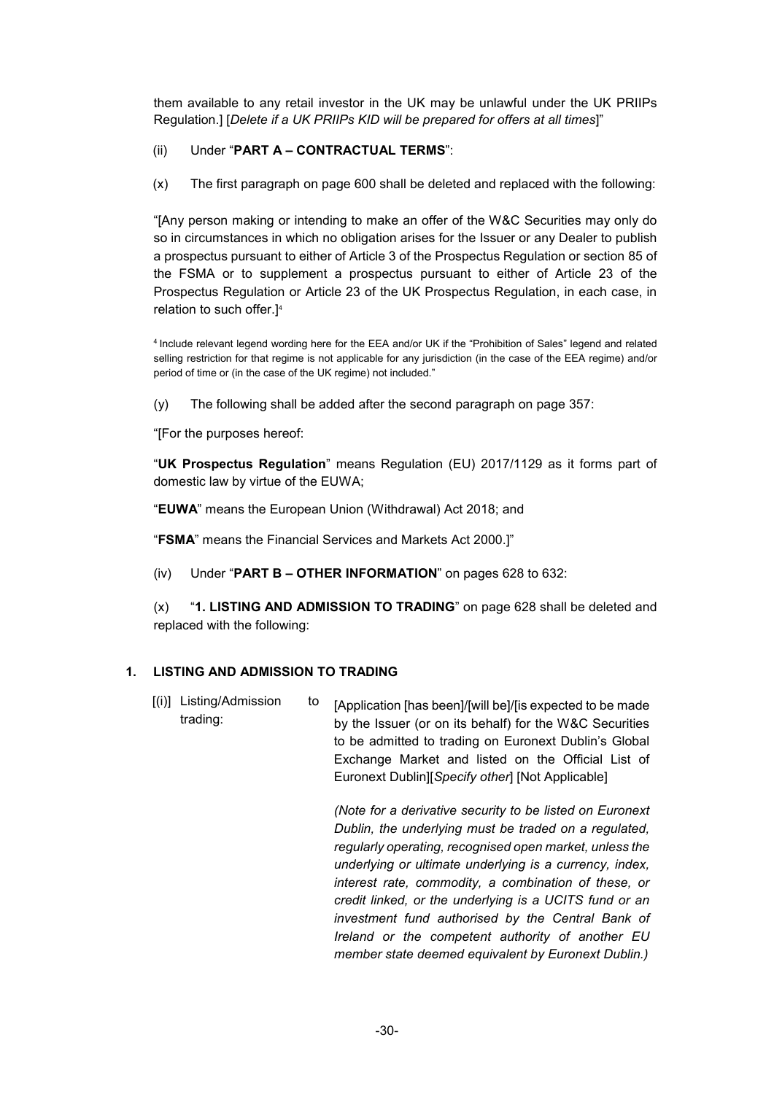them available to any retail investor in the UK may be unlawful under the UK PRIIPs Regulation.] [*Delete if a UK PRIIPs KID will be prepared for offers at all times*]"

# (ii) Under "**PART A – CONTRACTUAL TERMS**":

(x) The first paragraph on page 600 shall be deleted and replaced with the following:

"[Any person making or intending to make an offer of the W&C Securities may only do so in circumstances in which no obligation arises for the Issuer or any Dealer to publish a prospectus pursuant to either of Article 3 of the Prospectus Regulation or section 85 of the FSMA or to supplement a prospectus pursuant to either of Article 23 of the Prospectus Regulation or Article 23 of the UK Prospectus Regulation, in each case, in relation to such offer.]<sup>4</sup>

<sup>4</sup>Include relevant legend wording here for the EEA and/or UK if the "Prohibition of Sales" legend and related selling restriction for that regime is not applicable for any jurisdiction (in the case of the EEA regime) and/or period of time or (in the case of the UK regime) not included."

(y) The following shall be added after the second paragraph on page 357:

"[For the purposes hereof:

"**UK Prospectus Regulation**" means Regulation (EU) 2017/1129 as it forms part of domestic law by virtue of the EUWA;

"**EUWA**" means the European Union (Withdrawal) Act 2018; and

"**FSMA**" means the Financial Services and Markets Act 2000.]"

(iv) Under "**PART B – OTHER INFORMATION**" on pages 628 to 632:

(x) "**1. LISTING AND ADMISSION TO TRADING**" on page 628 shall be deleted and replaced with the following:

# **1. LISTING AND ADMISSION TO TRADING**

[(i)] Listing/Admission to trading: [Application [has been]/[will be]/[is expected to be made by the Issuer (or on its behalf) for the W&C Securities to be admitted to trading on Euronext Dublin's Global Exchange Market and listed on the Official List of Euronext Dublin][*Specify other*] [Not Applicable]

> *(Note for a derivative security to be listed on Euronext Dublin, the underlying must be traded on a regulated, regularly operating, recognised open market, unless the underlying or ultimate underlying is a currency, index, interest rate, commodity, a combination of these, or credit linked, or the underlying is a UCITS fund or an investment fund authorised by the Central Bank of Ireland or the competent authority of another EU member state deemed equivalent by Euronext Dublin.)*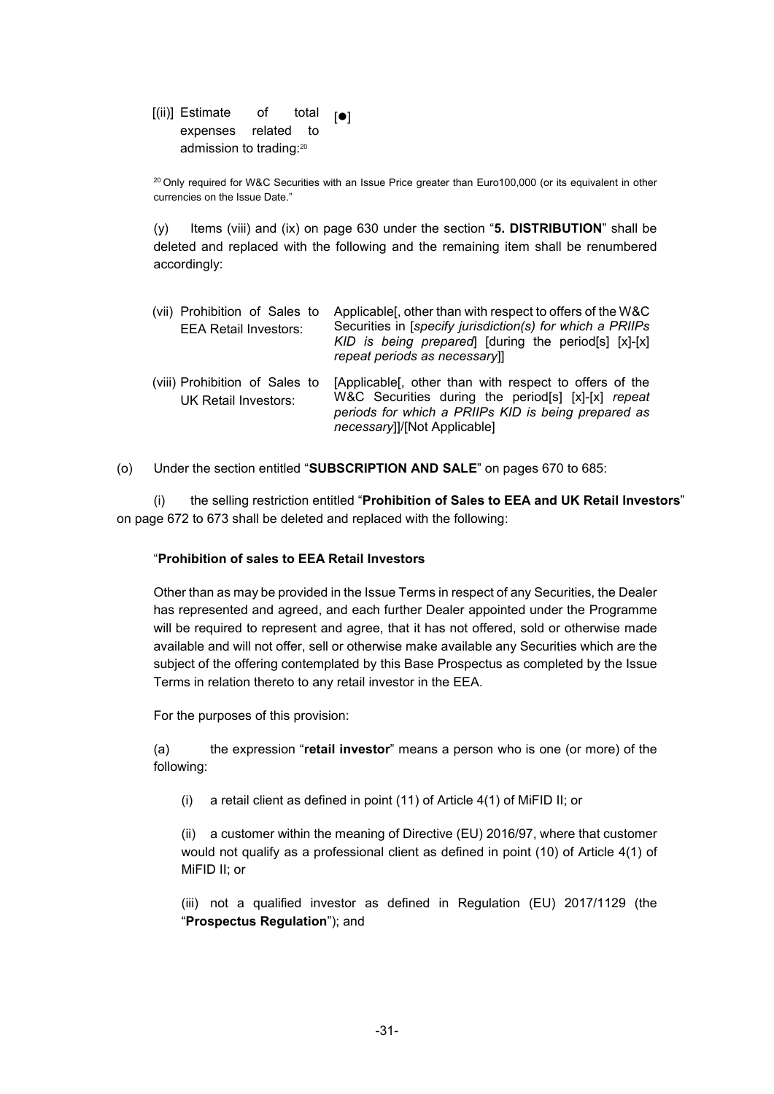[(ii)] Estimate of total expenses related to admission to trading:<sup>20</sup>  $[•]$ 

<sup>20</sup> Only required for W&C Securities with an Issue Price greater than Euro100,000 (or its equivalent in other currencies on the Issue Date."

(y) Items (viii) and (ix) on page 630 under the section "**5. DISTRIBUTION**" shall be deleted and replaced with the following and the remaining item shall be renumbered accordingly:

| (vii) Prohibition of Sales to<br><b>EEA Retail Investors:</b> | Applicable [, other than with respect to offers of the W&C<br>Securities in [specify jurisdiction(s) for which a PRIIPs<br>KID is being prepared [during the period[s] [x]-[x]<br>repeat periods as necessary]] |
|---------------------------------------------------------------|-----------------------------------------------------------------------------------------------------------------------------------------------------------------------------------------------------------------|
| (viii) Prohibition of Sales to<br>UK Retail Investors:        | [Applicable], other than with respect to offers of the<br>W&C Securities during the period[s] [x]-[x] repeat<br>periods for which a PRIIPs KID is being prepared as<br>necessary]]/[Not Applicable]             |

(o) Under the section entitled "**SUBSCRIPTION AND SALE**" on pages 670 to 685:

(i) the selling restriction entitled "**Prohibition of Sales to EEA and UK Retail Investors**" on page 672 to 673 shall be deleted and replaced with the following:

### "**Prohibition of sales to EEA Retail Investors**

Other than as may be provided in the Issue Terms in respect of any Securities, the Dealer has represented and agreed, and each further Dealer appointed under the Programme will be required to represent and agree, that it has not offered, sold or otherwise made available and will not offer, sell or otherwise make available any Securities which are the subject of the offering contemplated by this Base Prospectus as completed by the Issue Terms in relation thereto to any retail investor in the EEA.

For the purposes of this provision:

(a) the expression "**retail investor**" means a person who is one (or more) of the following:

(i) a retail client as defined in point (11) of Article 4(1) of MiFID II; or

(ii) a customer within the meaning of Directive (EU) 2016/97, where that customer would not qualify as a professional client as defined in point (10) of Article 4(1) of MiFID II; or

(iii) not a qualified investor as defined in Regulation (EU) 2017/1129 (the "**Prospectus Regulation**"); and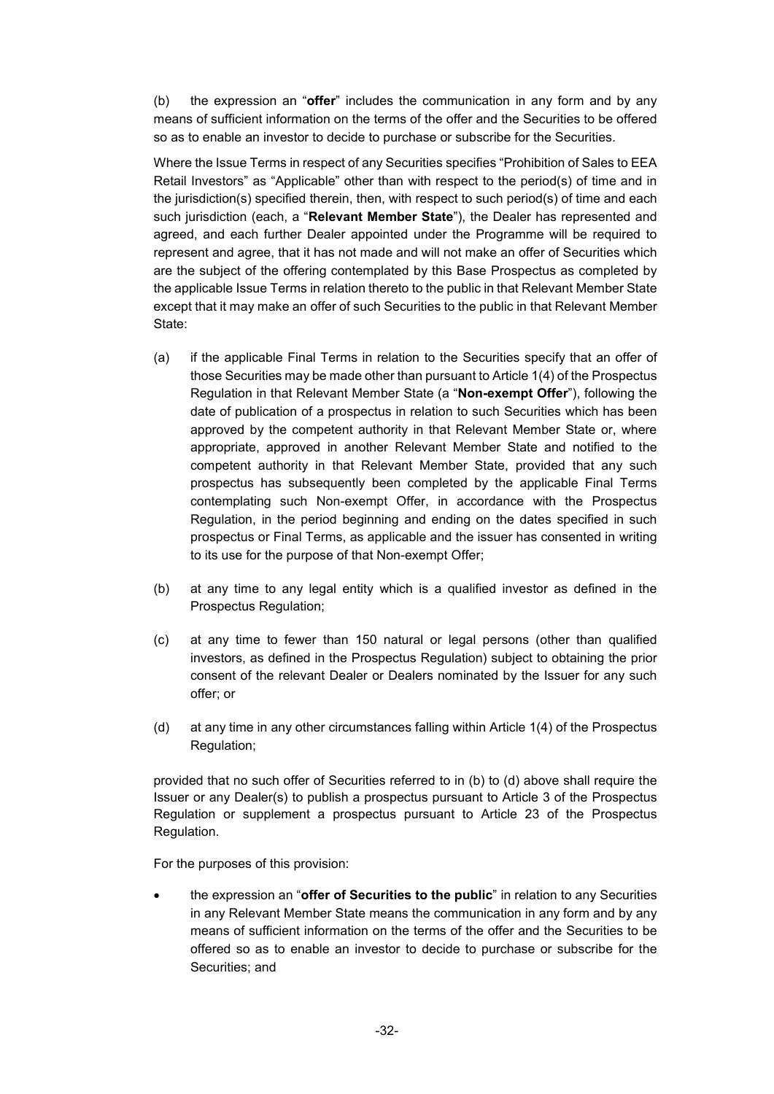(b) the expression an "**offer**" includes the communication in any form and by any means of sufficient information on the terms of the offer and the Securities to be offered so as to enable an investor to decide to purchase or subscribe for the Securities.

Where the Issue Terms in respect of any Securities specifies "Prohibition of Sales to EEA Retail Investors" as "Applicable" other than with respect to the period(s) of time and in the jurisdiction(s) specified therein, then, with respect to such period(s) of time and each such jurisdiction (each, a "**Relevant Member State**"), the Dealer has represented and agreed, and each further Dealer appointed under the Programme will be required to represent and agree, that it has not made and will not make an offer of Securities which are the subject of the offering contemplated by this Base Prospectus as completed by the applicable Issue Terms in relation thereto to the public in that Relevant Member State except that it may make an offer of such Securities to the public in that Relevant Member State:

- (a) if the applicable Final Terms in relation to the Securities specify that an offer of those Securities may be made other than pursuant to Article 1(4) of the Prospectus Regulation in that Relevant Member State (a "**Non-exempt Offer**"), following the date of publication of a prospectus in relation to such Securities which has been approved by the competent authority in that Relevant Member State or, where appropriate, approved in another Relevant Member State and notified to the competent authority in that Relevant Member State, provided that any such prospectus has subsequently been completed by the applicable Final Terms contemplating such Non-exempt Offer, in accordance with the Prospectus Regulation, in the period beginning and ending on the dates specified in such prospectus or Final Terms, as applicable and the issuer has consented in writing to its use for the purpose of that Non-exempt Offer;
- (b) at any time to any legal entity which is a qualified investor as defined in the Prospectus Regulation;
- (c) at any time to fewer than 150 natural or legal persons (other than qualified investors, as defined in the Prospectus Regulation) subject to obtaining the prior consent of the relevant Dealer or Dealers nominated by the Issuer for any such offer; or
- (d) at any time in any other circumstances falling within Article 1(4) of the Prospectus Regulation;

provided that no such offer of Securities referred to in (b) to (d) above shall require the Issuer or any Dealer(s) to publish a prospectus pursuant to Article 3 of the Prospectus Regulation or supplement a prospectus pursuant to Article 23 of the Prospectus Regulation.

For the purposes of this provision:

 the expression an "**offer of Securities to the public**" in relation to any Securities in any Relevant Member State means the communication in any form and by any means of sufficient information on the terms of the offer and the Securities to be offered so as to enable an investor to decide to purchase or subscribe for the Securities; and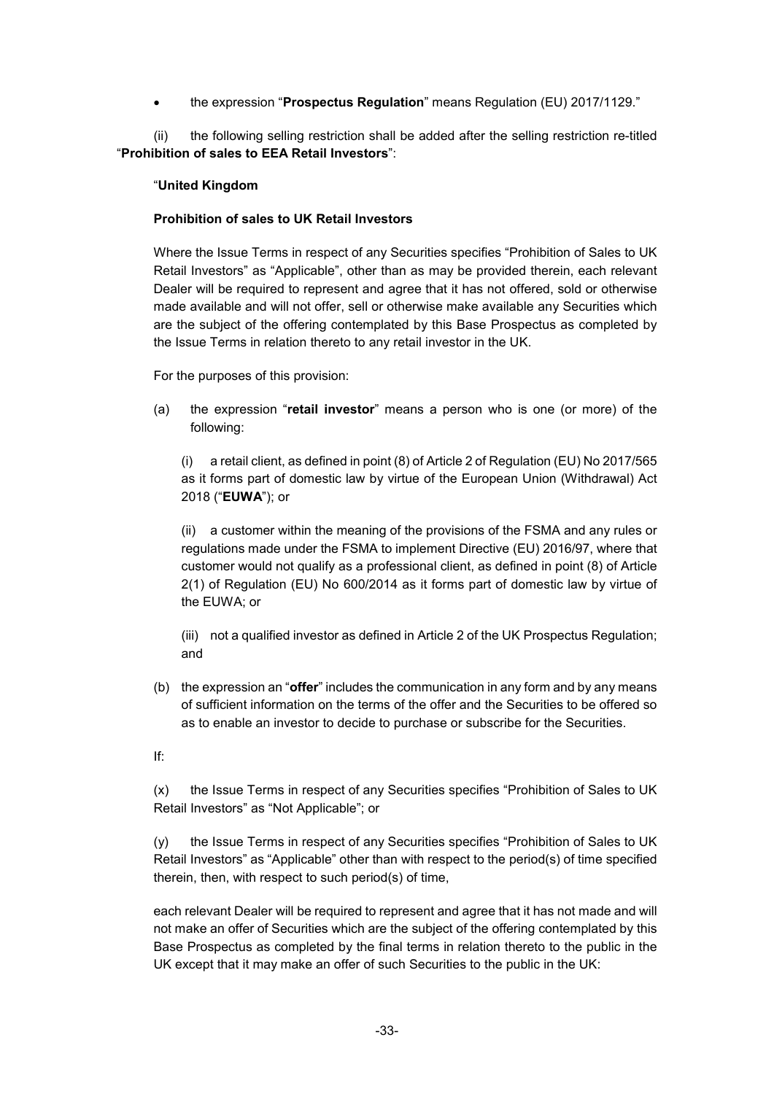the expression "**Prospectus Regulation**" means Regulation (EU) 2017/1129."

(ii) the following selling restriction shall be added after the selling restriction re-titled "**Prohibition of sales to EEA Retail Investors**":

#### "**United Kingdom**

#### **Prohibition of sales to UK Retail Investors**

Where the Issue Terms in respect of any Securities specifies "Prohibition of Sales to UK Retail Investors" as "Applicable", other than as may be provided therein, each relevant Dealer will be required to represent and agree that it has not offered, sold or otherwise made available and will not offer, sell or otherwise make available any Securities which are the subject of the offering contemplated by this Base Prospectus as completed by the Issue Terms in relation thereto to any retail investor in the UK.

For the purposes of this provision:

(a) the expression "**retail investor**" means a person who is one (or more) of the following:

(i) a retail client, as defined in point (8) of Article 2 of Regulation (EU) No 2017/565 as it forms part of domestic law by virtue of the European Union (Withdrawal) Act 2018 ("**EUWA**"); or

(ii) a customer within the meaning of the provisions of the FSMA and any rules or regulations made under the FSMA to implement Directive (EU) 2016/97, where that customer would not qualify as a professional client, as defined in point (8) of Article 2(1) of Regulation (EU) No 600/2014 as it forms part of domestic law by virtue of the EUWA; or

(iii) not a qualified investor as defined in Article 2 of the UK Prospectus Regulation; and

- (b) the expression an "**offer**" includes the communication in any form and by any means of sufficient information on the terms of the offer and the Securities to be offered so as to enable an investor to decide to purchase or subscribe for the Securities.
- If:

(x) the Issue Terms in respect of any Securities specifies "Prohibition of Sales to UK Retail Investors" as "Not Applicable"; or

(y) the Issue Terms in respect of any Securities specifies "Prohibition of Sales to UK Retail Investors" as "Applicable" other than with respect to the period(s) of time specified therein, then, with respect to such period(s) of time,

each relevant Dealer will be required to represent and agree that it has not made and will not make an offer of Securities which are the subject of the offering contemplated by this Base Prospectus as completed by the final terms in relation thereto to the public in the UK except that it may make an offer of such Securities to the public in the UK: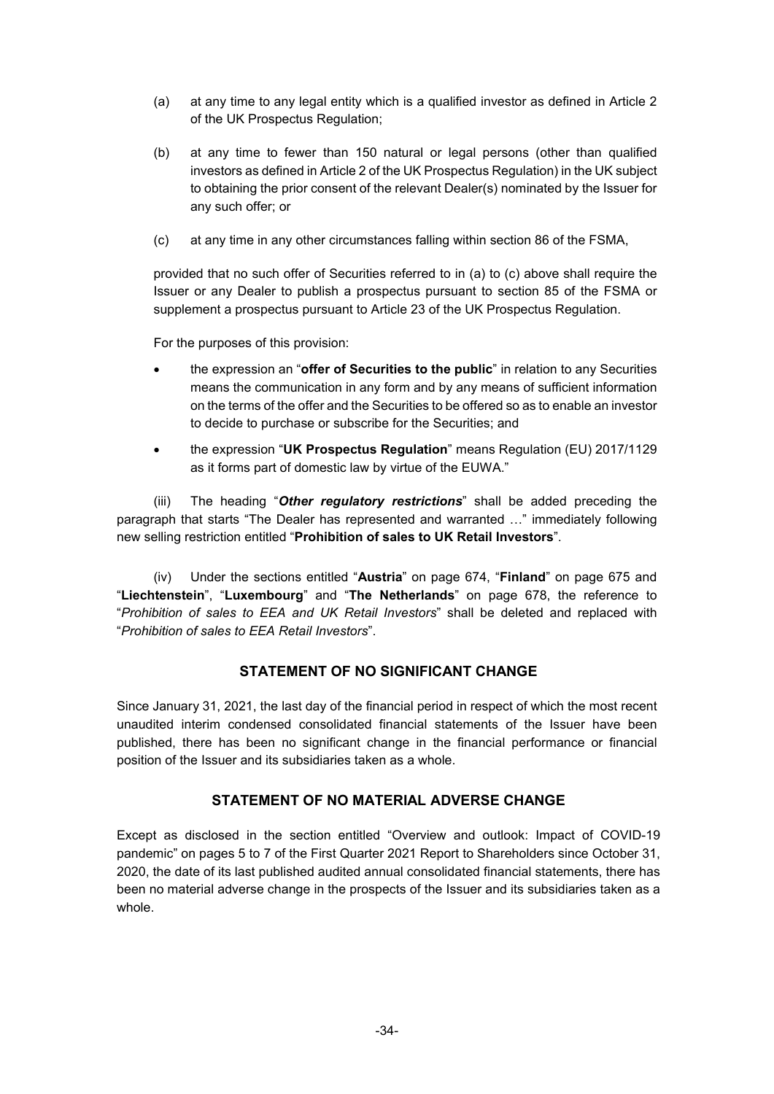- (a) at any time to any legal entity which is a qualified investor as defined in Article 2 of the UK Prospectus Regulation;
- (b) at any time to fewer than 150 natural or legal persons (other than qualified investors as defined in Article 2 of the UK Prospectus Regulation) in the UK subject to obtaining the prior consent of the relevant Dealer(s) nominated by the Issuer for any such offer; or
- (c) at any time in any other circumstances falling within section 86 of the FSMA,

provided that no such offer of Securities referred to in (a) to (c) above shall require the Issuer or any Dealer to publish a prospectus pursuant to section 85 of the FSMA or supplement a prospectus pursuant to Article 23 of the UK Prospectus Regulation.

For the purposes of this provision:

- the expression an "**offer of Securities to the public**" in relation to any Securities means the communication in any form and by any means of sufficient information on the terms of the offer and the Securities to be offered so as to enable an investor to decide to purchase or subscribe for the Securities; and
- the expression "**UK Prospectus Regulation**" means Regulation (EU) 2017/1129 as it forms part of domestic law by virtue of the EUWA."

(iii) The heading "*Other regulatory restrictions*" shall be added preceding the paragraph that starts "The Dealer has represented and warranted …" immediately following new selling restriction entitled "**Prohibition of sales to UK Retail Investors**".

(iv) Under the sections entitled "**Austria**" on page 674, "**Finland**" on page 675 and "**Liechtenstein**", "**Luxembourg**" and "**The Netherlands**" on page 678, the reference to "*Prohibition of sales to EEA and UK Retail Investors*" shall be deleted and replaced with "*Prohibition of sales to EEA Retail Investors*".

### **STATEMENT OF NO SIGNIFICANT CHANGE**

Since January 31, 2021, the last day of the financial period in respect of which the most recent unaudited interim condensed consolidated financial statements of the Issuer have been published, there has been no significant change in the financial performance or financial position of the Issuer and its subsidiaries taken as a whole.

### **STATEMENT OF NO MATERIAL ADVERSE CHANGE**

Except as disclosed in the section entitled "Overview and outlook: Impact of COVID-19 pandemic" on pages 5 to 7 of the First Quarter 2021 Report to Shareholders since October 31, 2020, the date of its last published audited annual consolidated financial statements, there has been no material adverse change in the prospects of the Issuer and its subsidiaries taken as a whole.